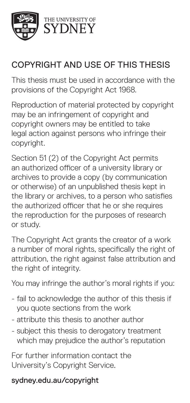

#### Copyright and use of this thesis

This thesis must be used in accordance with the provisions of the Copyright Act 1968.

Reproduction of material protected by copyright may be an infringement of copyright and copyright owners may be entitled to take legal action against persons who infringe their copyright.

Section 51 (2) of the Copyright Act permits an authorized officer of a university library or archives to provide a copy (by communication or otherwise) of an unpublished thesis kept in the library or archives, to a person who satisfies the authorized officer that he or she requires the reproduction for the purposes of research or study.

The Copyright Act grants the creator of a work a number of moral rights, specifically the right of attribution, the right against false attribution and the right of integrity.

You may infringe the author's moral rights if you:

- fail to acknowledge the author of this thesis if you quote sections from the work
- attribute this thesis to another author
- subject this thesis to derogatory treatment which may prejudice the author's reputation

For further information contact the University's Copyright Service.

#### sydney.edu.au/copyright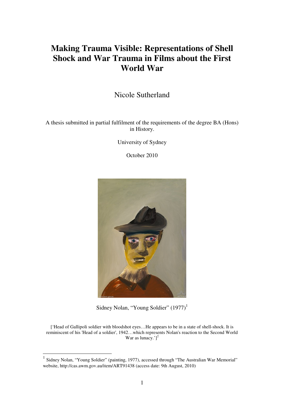## **Making Trauma Visible: Representations of Shell Shock and War Trauma in Films about the First World War**

Nicole Sutherland

A thesis submitted in partial fulfilment of the requirements of the degree BA (Hons) in History.

University of Sydney

October 2010



Sidney Nolan, "Young Soldier"  $(1977)^1$ 

['Head of Gallipoli soldier with bloodshot eyes…He appears to be in a state of shell-shock. It is reminiscent of his 'Head of a soldier', 1942…which represents Nolan's reaction to the Second World War as lunacy.']<sup>2</sup>

<sup>&</sup>lt;sup>1</sup> Sidney Nolan, "Young Soldier" (painting, 1977), accessed through "The Australian War Memorial" website, http://cas.awm.gov.au/item/ART91438 (access date: 9th August, 2010)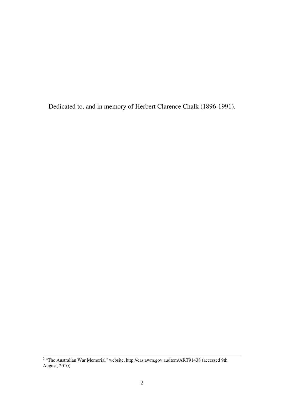Dedicated to, and in memory of Herbert Clarence Chalk (1896-1991).

<sup>&</sup>lt;sup>2</sup> "The Australian War Memorial" website, http://cas.awm.gov.au/item/ART91438 (accessed 9th August, 2010)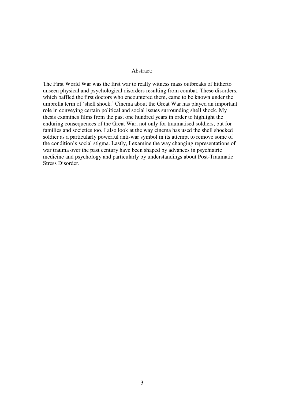#### Abstract:

The First World War was the first war to really witness mass outbreaks of hitherto unseen physical and psychological disorders resulting from combat. These disorders, which baffled the first doctors who encountered them, came to be known under the umbrella term of 'shell shock.' Cinema about the Great War has played an important role in conveying certain political and social issues surrounding shell shock. My thesis examines films from the past one hundred years in order to highlight the enduring consequences of the Great War, not only for traumatised soldiers, but for families and societies too. I also look at the way cinema has used the shell shocked soldier as a particularly powerful anti-war symbol in its attempt to remove some of the condition's social stigma. Lastly, I examine the way changing representations of war trauma over the past century have been shaped by advances in psychiatric medicine and psychology and particularly by understandings about Post-Traumatic Stress Disorder.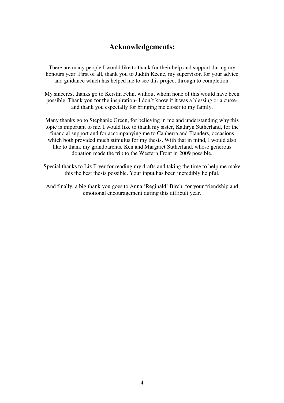#### **Acknowledgements:**

There are many people I would like to thank for their help and support during my honours year. First of all, thank you to Judith Keene, my supervisor, for your advice and guidance which has helped me to see this project through to completion.

My sincerest thanks go to Kerstin Fehn, without whom none of this would have been possible. Thank you for the inspiration- I don't know if it was a blessing or a curseand thank you especially for bringing me closer to my family.

Many thanks go to Stephanie Green, for believing in me and understanding why this topic is important to me. I would like to thank my sister, Kathryn Sutherland, for the financial support and for accompanying me to Canberra and Flanders, occasions which both provided much stimulus for my thesis. With that in mind, I would also like to thank my grandparents, Ken and Margaret Sutherland, whose generous donation made the trip to the Western Front in 2009 possible.

Special thanks to Liz Fryer for reading my drafts and taking the time to help me make this the best thesis possible. Your input has been incredibly helpful.

And finally, a big thank you goes to Anna 'Reginald' Birch, for your friendship and emotional encouragement during this difficult year.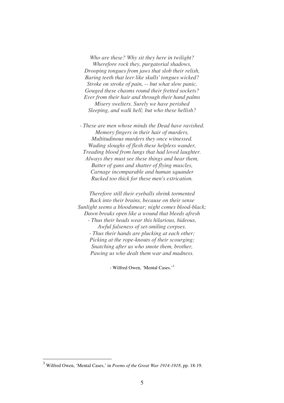*Who are these? Why sit they here in twilight? Wherefore rock they, purgatorial shadows, Drooping tongues from jaws that slob their relish, Baring teeth that leer like skulls' tongues wicked? Stroke on stroke of pain, -- but what slow panic, Gouged these chasms round their fretted sockets? Ever from their hair and through their hand palms Misery swelters. Surely we have perished Sleeping, and walk hell; but who these hellish?*

*- These are men whose minds the Dead have ravished. Memory fingers in their hair of murders, Multitudinous murders they once witnessed. Wading sloughs of flesh these helpless wander, Treading blood from lungs that had loved laughter. Always they must see these things and hear them, Batter of guns and shatter of flying muscles, Carnage incomparable and human squander Rucked too thick for these men's extrication.* 

*Therefore still their eyeballs shrink tormented Back into their brains, because on their sense Sunlight seems a bloodsmear; night comes blood-black; Dawn breaks open like a wound that bleeds afresh - Thus their heads wear this hilarious, hideous, Awful falseness of set-smiling corpses. - Thus their hands are plucking at each other; Picking at the rope-knouts of their scourging; Snatching after us who smote them, brother, Pawing us who dealt them war and madness.* 

- Wilfred Owen, 'Mental Cases.'<sup>3</sup>

<sup>3</sup> Wilfred Owen, 'Mental Cases,' in *Poems of the Great War 1914-1918*, pp. 18-19.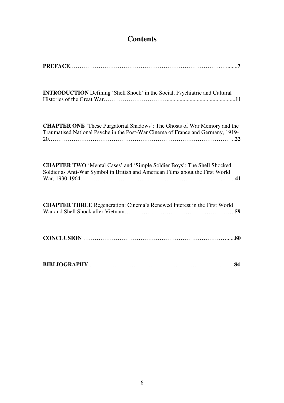### **Contents**

| <b>INTRODUCTION</b> Defining 'Shell Shock' in the Social, Psychiatric and Cultural                                                                                  |
|---------------------------------------------------------------------------------------------------------------------------------------------------------------------|
| <b>CHAPTER ONE</b> 'These Purgatorial Shadows': The Ghosts of War Memory and the<br>Traumatised National Psyche in the Post-War Cinema of France and Germany, 1919- |
| <b>CHAPTER TWO 'Mental Cases' and 'Simple Soldier Boys': The Shell Shocked</b><br>Soldier as Anti-War Symbol in British and American Films about the First World    |
| <b>CHAPTER THREE</b> Regeneration: Cinema's Renewed Interest in the First World                                                                                     |
|                                                                                                                                                                     |
|                                                                                                                                                                     |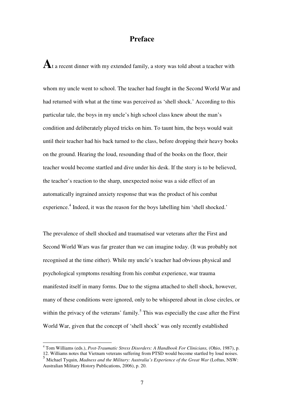#### **Preface**

 ${\bf A}$ t a recent dinner with my extended family, a story was told about a teacher with

whom my uncle went to school. The teacher had fought in the Second World War and had returned with what at the time was perceived as 'shell shock.' According to this particular tale, the boys in my uncle's high school class knew about the man's condition and deliberately played tricks on him. To taunt him, the boys would wait until their teacher had his back turned to the class, before dropping their heavy books on the ground. Hearing the loud, resounding thud of the books on the floor, their teacher would become startled and dive under his desk. If the story is to be believed, the teacher's reaction to the sharp, unexpected noise was a side effect of an automatically ingrained anxiety response that was the product of his combat experience.<sup>4</sup> Indeed, it was the reason for the boys labelling him 'shell shocked.'

The prevalence of shell shocked and traumatised war veterans after the First and Second World Wars was far greater than we can imagine today. (It was probably not recognised at the time either). While my uncle's teacher had obvious physical and psychological symptoms resulting from his combat experience, war trauma manifested itself in many forms. Due to the stigma attached to shell shock, however, many of these conditions were ignored, only to be whispered about in close circles, or within the privacy of the veterans' family.<sup>5</sup> This was especially the case after the First World War, given that the concept of 'shell shock' was only recently established

<sup>4</sup> Tom Williams (eds.), *Post-Traumatic Stress Disorders: A Handbook For Clinicians*, (Ohio, 1987), p.

<sup>12.</sup> Williams notes that Vietnam veterans suffering from PTSD would become startled by loud noises.

<sup>5</sup> Michael Tyquin, *Madness and the Military: Australia's Experience of the Great War* (Loftus, NSW: Australian Military History Publications, 2006), p. 20.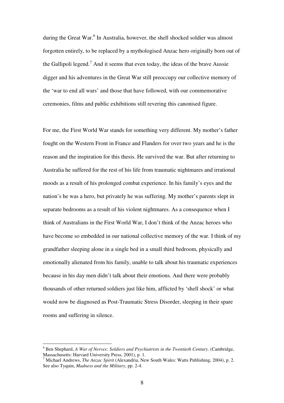during the Great War.<sup>6</sup> In Australia, however, the shell shocked soldier was almost forgotten entirely, to be replaced by a mythologised Anzac hero originally born out of the Gallipoli legend.<sup>7</sup> And it seems that even today, the ideas of the brave Aussie digger and his adventures in the Great War still preoccupy our collective memory of the 'war to end all wars' and those that have followed, with our commemorative ceremonies, films and public exhibitions still revering this canonised figure.

For me, the First World War stands for something very different. My mother's father fought on the Western Front in France and Flanders for over two years and he is the reason and the inspiration for this thesis. He survived the war. But after returning to Australia he suffered for the rest of his life from traumatic nightmares and irrational moods as a result of his prolonged combat experience. In his family's eyes and the nation's he was a hero, but privately he was suffering. My mother's parents slept in separate bedrooms as a result of his violent nightmares. As a consequence when I think of Australians in the First World War, I don't think of the Anzac heroes who have become so embedded in our national collective memory of the war. I think of my grandfather sleeping alone in a single bed in a small third bedroom, physically and emotionally alienated from his family, unable to talk about his traumatic experiences because in his day men didn't talk about their emotions. And there were probably thousands of other returned soldiers just like him, afflicted by 'shell shock' or what would now be diagnosed as Post-Traumatic Stress Disorder, sleeping in their spare rooms and suffering in silence.

<sup>&</sup>lt;sup>6</sup> Ben Shephard, *A War of Nerves: Soldiers and Psychiatrists in the Twentieth Century, (Cambridge,* Massachusetts: Harvard University Press, 2001), p. 1.

<sup>7</sup> Michael Andrews, *The Anzac Spirit* (Alexandria, New South Wales: Watts Publishing, 2004), p. 2. See also Tyquin, *Madness and the Military,* pp. 2-4.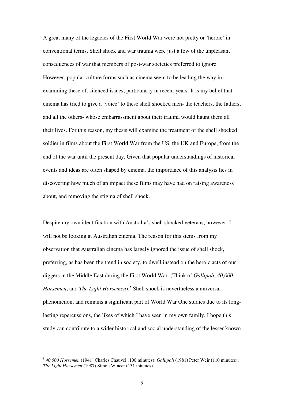A great many of the legacies of the First World War were not pretty or 'heroic' in conventional terms. Shell shock and war trauma were just a few of the unpleasant consequences of war that members of post-war societies preferred to ignore. However, popular culture forms such as cinema seem to be leading the way in examining these oft silenced issues, particularly in recent years. It is my belief that cinema has tried to give a 'voice' to these shell shocked men- the teachers, the fathers, and all the others- whose embarrassment about their trauma would haunt them all their lives. For this reason, my thesis will examine the treatment of the shell shocked soldier in films about the First World War from the US, the UK and Europe, from the end of the war until the present day. Given that popular understandings of historical events and ideas are often shaped by cinema, the importance of this analysis lies in discovering how much of an impact these films may have had on raising awareness about, and removing the stigma of shell shock.

Despite my own identification with Australia's shell shocked veterans, however, I will not be looking at Australian cinema. The reason for this stems from my observation that Australian cinema has largely ignored the issue of shell shock, preferring, as has been the trend in society, to dwell instead on the heroic acts of our diggers in the Middle East during the First World War. (Think of *Gallipoli*, *40,000*  Horsemen, and *The Light Horsemen*).<sup>8</sup> Shell shock is nevertheless a universal phenomenon, and remains a significant part of World War One studies due to its longlasting repercussions, the likes of which I have seen in my own family. I hope this study can contribute to a wider historical and social understanding of the lesser known

 8 *40,000 Horsemen* (1941) Charles Chauvel (100 minutes); *Gallipoli* (1981) Peter Weir (110 minutes); *The Light Horsemen* (1987) Simon Wincer (131 minutes)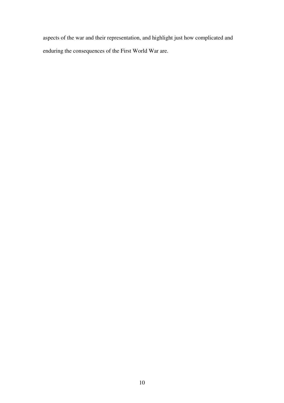aspects of the war and their representation, and highlight just how complicated and enduring the consequences of the First World War are.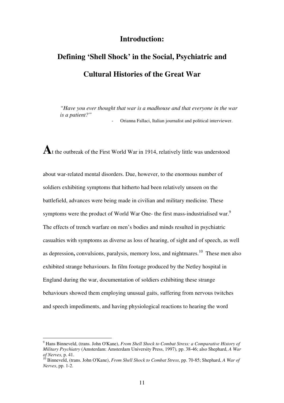#### **Introduction:**

## **Defining 'Shell Shock' in the Social, Psychiatric and Cultural Histories of the Great War**

*"Have you ever thought that war is a madhouse and that everyone in the war is a patient?"*

- Orianna Fallaci, Italian journalist and political interviewer.

At the outbreak of the First World War in 1914, relatively little was understood

about war-related mental disorders. Due, however, to the enormous number of soldiers exhibiting symptoms that hitherto had been relatively unseen on the battlefield, advances were being made in civilian and military medicine. These symptoms were the product of World War One- the first mass-industrialised war.<sup>9</sup> The effects of trench warfare on men's bodies and minds resulted in psychiatric casualties with symptoms as diverse as loss of hearing, of sight and of speech, as well as depression**,** convulsions, paralysis, memory loss, and nightmares. <sup>10</sup> These men also exhibited strange behaviours. In film footage produced by the Netley hospital in England during the war, documentation of soldiers exhibiting these strange behaviours showed them employing unusual gaits, suffering from nervous twitches and speech impediments, and having physiological reactions to hearing the word

<sup>9</sup> Hans Binneveld, (trans. John O'Kane), *From Shell Shock to Combat Stress: a Comparative History of Military Psychiatry* (Amsterdam: Amsterdam University Press, 1997)*,* pp. 38-46; also Shephard, *A War of Nerves*, p. 41.

<sup>10</sup> Binneveld, (trans. John O'Kane), *From Shell Shock to Combat Stress*, pp. 70-85; Shephard, *A War of Nerves*, pp. 1-2.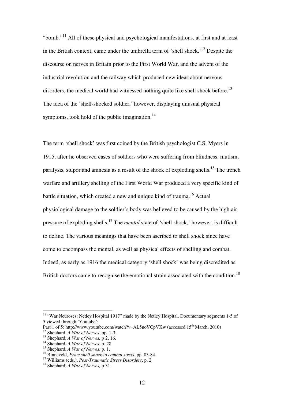"bomb."<sup>11</sup> All of these physical and psychological manifestations, at first and at least in the British context, came under the umbrella term of 'shell shock.'<sup>12</sup> Despite the discourse on nerves in Britain prior to the First World War, and the advent of the industrial revolution and the railway which produced new ideas about nervous disorders, the medical world had witnessed nothing quite like shell shock before.<sup>13</sup> The idea of the 'shell-shocked soldier,' however, displaying unusual physical symptoms, took hold of the public imagination. $^{14}$ 

The term 'shell shock' was first coined by the British psychologist C.S. Myers in 1915, after he observed cases of soldiers who were suffering from blindness, mutism, paralysis, stupor and amnesia as a result of the shock of exploding shells.<sup>15</sup> The trench warfare and artillery shelling of the First World War produced a very specific kind of battle situation, which created a new and unique kind of trauma.<sup>16</sup> Actual physiological damage to the soldier's body was believed to be caused by the high air pressure of exploding shells.<sup>17</sup> The *mental* state of 'shell shock,' however, is difficult to define. The various meanings that have been ascribed to shell shock since have come to encompass the mental, as well as physical effects of shelling and combat. Indeed, as early as 1916 the medical category 'shell shock' was being discredited as British doctors came to recognise the emotional strain associated with the condition.<sup>18</sup>

<sup>&</sup>lt;sup>11</sup> "War Neuroses: Netley Hospital 1917" made by the Netley Hospital. Documentary segments 1-5 of 5 viewed through 'Youtube':

Part 1 of 5: http://www.youtube.com/watch?v=AL5noVCpVKw (accessed 15<sup>th</sup> March, 2010)

<sup>12</sup> Shephard, *A War of Nerves*, pp. 1-3.

<sup>13</sup> Shephard, *A War of Nerves,* p 2, 16.

<sup>14</sup> Shephard, *A War of Nerves*, p. 28

<sup>15</sup> Shephard, *A War of Nerves*, p. 1.

<sup>16</sup> Binneveld, *From shell shock to combat stress*, pp. 83-84.

<sup>17</sup> Williams (eds.), *Post-Traumatic Stress Disorders*, p. 2.

<sup>18</sup> Shephard, *A War of Nerves,* p 31.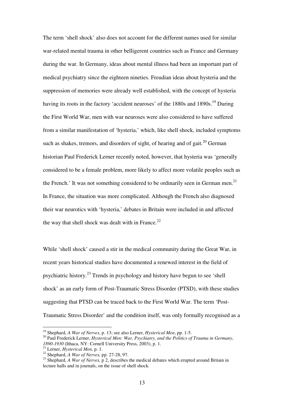The term 'shell shock' also does not account for the different names used for similar war-related mental trauma in other belligerent countries such as France and Germany during the war. In Germany, ideas about mental illness had been an important part of medical psychiatry since the eighteen nineties. Freudian ideas about hysteria and the suppression of memories were already well established, with the concept of hysteria having its roots in the factory 'accident neuroses' of the  $1880s$  and  $1890s$ .<sup>19</sup> During the First World War, men with war neuroses were also considered to have suffered from a similar manifestation of 'hysteria,' which, like shell shock, included symptoms such as shakes, tremors, and disorders of sight, of hearing and of gait.<sup>20</sup> German historian Paul Frederick Lerner recently noted, however, that hysteria was 'generally considered to be a female problem, more likely to affect more volatile peoples such as the French.' It was not something considered to be ordinarily seen in German men.<sup>21</sup> In France, the situation was more complicated. Although the French also diagnosed their war neurotics with 'hysteria,' debates in Britain were included in and affected the way that shell shock was dealt with in France.<sup>22</sup>

While 'shell shock' caused a stir in the medical community during the Great War, in recent years historical studies have documented a renewed interest in the field of psychiatric history.<sup>23</sup> Trends in psychology and history have begun to see 'shell shock' as an early form of Post-Traumatic Stress Disorder (PTSD), with these studies suggesting that PTSD can be traced back to the First World War. The term 'Post-Traumatic Stress Disorder' and the condition itself, was only formally recognised as a

<sup>19</sup> Shephard, *A War of Nerves*, p. 13; see also Lerner, *Hysterical Men*, pp. 1-5.

<sup>&</sup>lt;sup>20</sup> Paul Frederick Lerner, *Hysterical Men: War, Psychiatry, and the Politics of Trauma in Germany, 1890-1930* (Ithaca, NY: Cornell University Press, 2003), p. 1.

<sup>21</sup> Lerner, *Hysterical Men,* p. 1.

<sup>22</sup> Shephard, *A War of Nerves,* pp. 27-28, 97.

<sup>&</sup>lt;sup>23</sup> Shephard, *A War of Nerves*, p 2, describes the medical debates which erupted around Britain in lecture halls and in journals, on the issue of shell shock.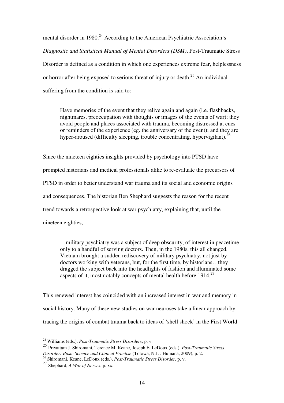mental disorder in  $1980.<sup>24</sup>$  According to the American Psychiatric Association's *Diagnostic and Statistical Manual of Mental Disorders (DSM)*, Post-Traumatic Stress Disorder is defined as a condition in which one experiences extreme fear, helplessness or horror after being exposed to serious threat of injury or death.<sup>25</sup> An individual suffering from the condition is said to:

Have memories of the event that they relive again and again (i.e. flashbacks, nightmares, preoccupation with thoughts or images of the events of war); they avoid people and places associated with trauma, becoming distressed at cues or reminders of the experience (eg. the anniversary of the event); and they are hyper-aroused (difficulty sleeping, trouble concentrating, hypervigilant).<sup>26</sup>

Since the nineteen eighties insights provided by psychology into PTSD have prompted historians and medical professionals alike to re-evaluate the precursors of PTSD in order to better understand war trauma and its social and economic origins and consequences. The historian Ben Shephard suggests the reason for the recent trend towards a retrospective look at war psychiatry, explaining that, until the nineteen eighties,

…military psychiatry was a subject of deep obscurity, of interest in peacetime only to a handful of serving doctors. Then, in the 1980s, this all changed. Vietnam brought a sudden rediscovery of military psychiatry, not just by doctors working with veterans, but, for the first time, by historians…they dragged the subject back into the headlights of fashion and illuminated some aspects of it, most notably concepts of mental health before  $1914$ <sup>27</sup>

This renewed interest has coincided with an increased interest in war and memory in social history. Many of these new studies on war neuroses take a linear approach by tracing the origins of combat trauma back to ideas of 'shell shock' in the First World

<sup>24</sup> Williams (eds.), *Post-Traumatic Stress Disorders*, p. v.

<sup>25</sup> Priyattam J. Shiromani, Terence M. Keane, Joseph E. LeDoux (eds.), *Post-Traumatic Stress Disorder: Basic Science and Clinical Practise* (Totowa, N.J. : Humana, 2009), p. 2.

<sup>26</sup> Shiromani, Keane, LeDoux (eds.), *Post-Traumatic Stress Disorder*, p. v.

<sup>27</sup> Shephard, *A War of Nerves*, p. xx.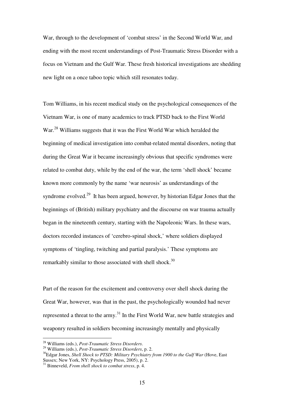War, through to the development of 'combat stress' in the Second World War, and ending with the most recent understandings of Post-Traumatic Stress Disorder with a focus on Vietnam and the Gulf War. These fresh historical investigations are shedding new light on a once taboo topic which still resonates today.

Tom Williams, in his recent medical study on the psychological consequences of the Vietnam War, is one of many academics to track PTSD back to the First World War.<sup>28</sup> Williams suggests that it was the First World War which heralded the beginning of medical investigation into combat-related mental disorders, noting that during the Great War it became increasingly obvious that specific syndromes were related to combat duty, while by the end of the war, the term 'shell shock' became known more commonly by the name 'war neurosis' as understandings of the syndrome evolved.<sup>29</sup> It has been argued, however, by historian Edgar Jones that the beginnings of (British) military psychiatry and the discourse on war trauma actually began in the nineteenth century, starting with the Napoleonic Wars. In these wars, doctors recorded instances of 'cerebro-spinal shock,' where soldiers displayed symptoms of 'tingling, twitching and partial paralysis.' These symptoms are remarkably similar to those associated with shell shock.<sup>30</sup>

Part of the reason for the excitement and controversy over shell shock during the Great War, however, was that in the past, the psychologically wounded had never represented a threat to the army.<sup>31</sup> In the First World War, new battle strategies and weaponry resulted in soldiers becoming increasingly mentally and physically

<sup>28</sup> Williams (eds.), *Post-Traumatic Stress Disorders*.

<sup>29</sup> Williams (eds.), *Post-Traumatic Stress Disorders*, p. 2.

<sup>&</sup>lt;sup>30</sup>Edgar Jones, *Shell Shock to PTSD: Military Psychiatry from 1900 to the Gulf War (Hove, East* Sussex; New York, NY: Psychology Press, 2005), p. 2.

<sup>31</sup> Binneveld, *From shell shock to combat stress*, p. 4.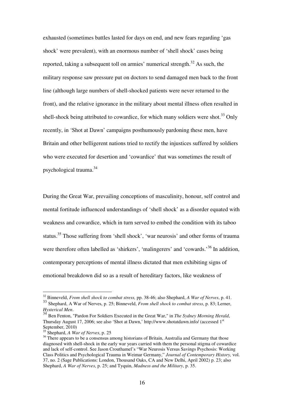exhausted (sometimes battles lasted for days on end, and new fears regarding 'gas shock' were prevalent), with an enormous number of 'shell shock' cases being reported, taking a subsequent toll on armies' numerical strength.<sup>32</sup> As such, the military response saw pressure put on doctors to send damaged men back to the front line (although large numbers of shell-shocked patients were never returned to the front), and the relative ignorance in the military about mental illness often resulted in shell-shock being attributed to cowardice, for which many soldiers were shot.<sup>33</sup> Only recently, in 'Shot at Dawn' campaigns posthumously pardoning these men, have Britain and other belligerent nations tried to rectify the injustices suffered by soldiers who were executed for desertion and 'cowardice' that was sometimes the result of psychological trauma.<sup>34</sup>

During the Great War, prevailing conceptions of masculinity, honour, self control and mental fortitude influenced understandings of 'shell shock' as a disorder equated with weakness and cowardice, which in turn served to embed the condition with its taboo status.<sup>35</sup> Those suffering from 'shell shock', 'war neurosis' and other forms of trauma were therefore often labelled as 'shirkers', 'malingerers' and 'cowards,<sup>36</sup> In addition, contemporary perceptions of mental illness dictated that men exhibiting signs of emotional breakdown did so as a result of hereditary factors, like weakness of

<sup>32</sup> Binneveld, *From shell shock to combat stress,* pp. 38-46; also Shephard, *A War of Nerves*, p. 41.

<sup>33</sup> Shephard, A War of Nerves, p. 25; Binneveld, *From shell shock to combat stress*, p. 83; Lerner, *Hysterical Men*.

<sup>34</sup> Ben Fenton, "Pardon For Soldiers Executed in the Great War," in *The Sydney Morning Herald*, Thursday August 17, 2006; see also 'Shot at Dawn,' http://www.shotatdawn.info/ (accessed 1st September, 2010)

<sup>35</sup> Shephard, *A War of Nerves*, p. 25

<sup>&</sup>lt;sup>36</sup> There appears to be a consensus among historians of Britain, Australia and Germany that those diagnosed with shell-shock in the early war years carried with them the personal stigma of cowardice and lack of self-control. See Jason Crouthamel's "War Neurosis Versus Savings Psychosis: Working Class Politics and Psychological Trauma in Weimar Germany," *Journal of Contemporary History,* vol. 37, no. 2 (Sage Publications: London, Thousand Oaks, CA and New Delhi, April 2002) p. 23; also Shephard, *A War of Nerves*, p. 25; and Tyquin, *Madness and the Military*, p. 35.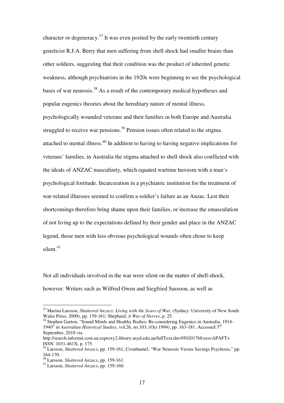character or degeneracy.<sup>37</sup> It was even posited by the early twentieth century geneticist R.J.A. Berry that men suffering from shell shock had smaller brains than other soldiers, suggesting that their condition was the product of inherited genetic weakness, although psychiatrists in the 1920s were beginning to see the psychological bases of war neurosis.<sup>38</sup> As a result of the contemporary medical hypotheses and popular eugenics theories about the hereditary nature of mental illness, psychologically wounded veterans and their families in both Europe and Australia struggled to receive war pensions.<sup>39</sup> Pension issues often related to the stigma attached to mental illness.<sup>40</sup> In addition to having to having negative implications for veterans' families, in Australia the stigma attached to shell shock also conflicted with the ideals of ANZAC masculinity, which equated wartime heroism with a man's psychological fortitude. Incarceration in a psychiatric institution for the treatment of war-related illnesses seemed to confirm a soldier's failure as an Anzac. Lest their shortcomings therefore bring shame upon their families, or increase the emasculation of not living up to the expectations defined by their gender and place in the ANZAC legend, those men with less obvious psychological wounds often chose to keep silent $41$ 

Not all individuals involved in the war were silent on the matter of shell-shock, however. Writers such as Wilfred Owen and Siegfried Sassoon, as well as

<sup>37</sup> Marina Larsson, *Shattered Anzacs: Living with the Scars of War*, (Sydney: University of New South Wales Press, 2009), pp. 159-161; Shephard, *A War of Nerves*, p. 25.

<sup>&</sup>lt;sup>38</sup> Stephen Garton, "Sound Minds and Healthy Bodies: Re-considering Eugenics in Australia, 1914-1940" in *Australian Historical Studies*, vol.26, no.103, (Oct 1994), pp. 163-181. Accessed 3rd September, 2010 via

http://search.informit.com.au.ezproxy2.library.usyd.edu.au/fullText;dn=950201768;res=APAFT> ISSN: 1031-461X, p. 175.

<sup>39</sup> Larsson, *Shattered Anzacs*, pp. 159-161; Crouthamel, "War Neurosis Versus Savings Psychosis," pp. 164-170.

<sup>40</sup> Larsson, *Shattered Anzacs*, pp. 159-161.

<sup>41</sup> Larsson, *Shattered Anzacs*, pp. 159-160.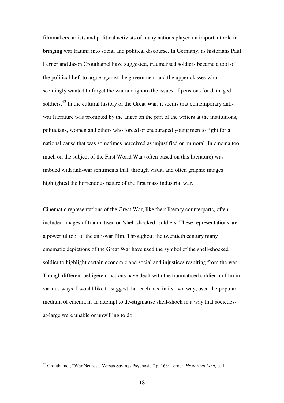filmmakers, artists and political activists of many nations played an important role in bringing war trauma into social and political discourse. In Germany, as historians Paul Lerner and Jason Crouthamel have suggested, traumatised soldiers became a tool of the political Left to argue against the government and the upper classes who seemingly wanted to forget the war and ignore the issues of pensions for damaged soldiers.<sup>42</sup> In the cultural history of the Great War, it seems that contemporary antiwar literature was prompted by the anger on the part of the writers at the institutions, politicians, women and others who forced or encouraged young men to fight for a national cause that was sometimes perceived as unjustified or immoral. In cinema too, much on the subject of the First World War (often based on this literature) was imbued with anti-war sentiments that, through visual and often graphic images highlighted the horrendous nature of the first mass industrial war.

Cinematic representations of the Great War, like their literary counterparts, often included images of traumatised or 'shell shocked' soldiers. These representations are a powerful tool of the anti-war film. Throughout the twentieth century many cinematic depictions of the Great War have used the symbol of the shell-shocked soldier to highlight certain economic and social and injustices resulting from the war. Though different belligerent nations have dealt with the traumatised soldier on film in various ways, I would like to suggest that each has, in its own way, used the popular medium of cinema in an attempt to de-stigmatise shell-shock in a way that societiesat-large were unable or unwilling to do.

<sup>42</sup> Crouthamel, "War Neurosis Versus Savings Psychosis," p. 163; Lerner, *Hysterical Men,* p. 1.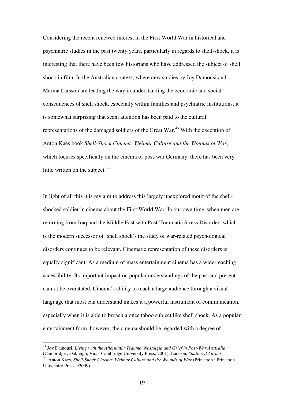Considering the recent renewed interest in the First World War in historical and psychiatric studies in the past twenty years, particularly in regards to shell-shock, it is interesting that there have been few historians who have addressed the subject of shell shock in film. In the Australian context, where new studies by Joy Damousi and Marina Larsson are leading the way in understanding the economic and social consequences of shell shock, especially within families and psychiatric institutions, it is somewhat surprising that scant attention has been paid to the cultural representations of the damaged soldiers of the Great War.<sup>43</sup> With the exception of Anton Kaes book *Shell-Shock Cinema: Weimar Culture and the Wounds of War*, which focuses specifically on the cinema of post-war Germany, there has been very little written on the subject.  $44$ 

In light of all this it is my aim to address this largely unexplored motif of the shellshocked soldier in cinema about the First World War. In our own time, when men are returning from Iraq and the Middle East with Post-Traumatic Stress Disorder- which is the modern successor of 'shell shock'- the study of war-related psychological disorders continues to be relevant. Cinematic representation of these disorders is equally significant. As a medium of mass entertainment cinema has a wide-reaching accessibility. Its important impact on popular understandings of the past and present cannot be overstated. Cinema's ability to reach a large audience through a visual language that most can understand makes it a powerful instrument of communication, especially when it is able to broach a once taboo subject like shell shock. As a popular entertainment form, however, the cinema should be regarded with a degree of

<sup>43</sup> Joy Damousi, *Living with the Aftermath: Trauma, Nostalgia and Grief in Post-War Australia* (Cambridge ; Oakleigh, Vic. : Cambridge University Press, 2001); Larsson, *Shattered Anzacs*.

<sup>&</sup>lt;sup>44</sup> Anton Kaes, *Shell-Shock Cinema: Weimar Culture and the Wounds of War (Princeton : Princeton* University Press, c2009).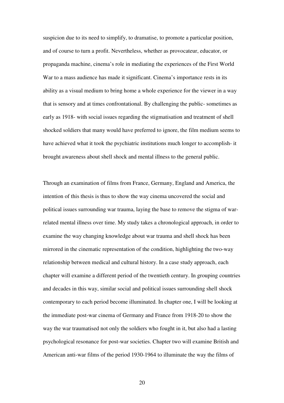suspicion due to its need to simplify, to dramatise, to promote a particular position, and of course to turn a profit. Nevertheless, whether as provocateur, educator, or propaganda machine, cinema's role in mediating the experiences of the First World War to a mass audience has made it significant. Cinema's importance rests in its ability as a visual medium to bring home a whole experience for the viewer in a way that is sensory and at times confrontational. By challenging the public- sometimes as early as 1918- with social issues regarding the stigmatisation and treatment of shell shocked soldiers that many would have preferred to ignore, the film medium seems to have achieved what it took the psychiatric institutions much longer to accomplish- it brought awareness about shell shock and mental illness to the general public.

Through an examination of films from France, Germany, England and America, the intention of this thesis is thus to show the way cinema uncovered the social and political issues surrounding war trauma, laying the base to remove the stigma of warrelated mental illness over time. My study takes a chronological approach, in order to examine the way changing knowledge about war trauma and shell shock has been mirrored in the cinematic representation of the condition, highlighting the two-way relationship between medical and cultural history. In a case study approach, each chapter will examine a different period of the twentieth century. In grouping countries and decades in this way, similar social and political issues surrounding shell shock contemporary to each period become illuminated. In chapter one, I will be looking at the immediate post-war cinema of Germany and France from 1918-20 to show the way the war traumatised not only the soldiers who fought in it, but also had a lasting psychological resonance for post-war societies. Chapter two will examine British and American anti-war films of the period 1930-1964 to illuminate the way the films of

20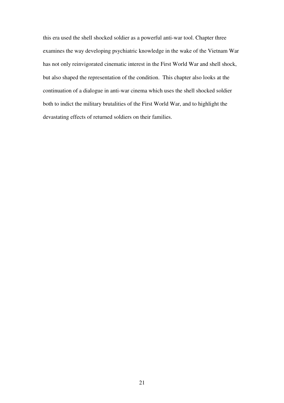this era used the shell shocked soldier as a powerful anti-war tool. Chapter three examines the way developing psychiatric knowledge in the wake of the Vietnam War has not only reinvigorated cinematic interest in the First World War and shell shock, but also shaped the representation of the condition. This chapter also looks at the continuation of a dialogue in anti-war cinema which uses the shell shocked soldier both to indict the military brutalities of the First World War, and to highlight the devastating effects of returned soldiers on their families.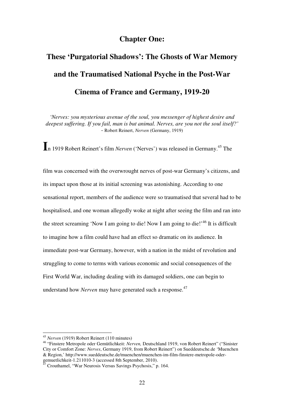#### **Chapter One:**

# **These 'Purgatorial Shadows': The Ghosts of War Memory and the Traumatised National Psyche in the Post-War Cinema of France and Germany, 1919-20**

*'Nerves: you mysterious avenue of the soul, you messenger of highest desire and deepest suffering. If you fail, man is but animal. Nerves, are you not the soul itself?'*  - Robert Reinert, *Nerven* (Germany, 1919)

I<sub>n</sub> 1919 Robert Reinert's film *Nerven* ('Nerves') was released in Germany.<sup>45</sup> The

film was concerned with the overwrought nerves of post-war Germany's citizens, and its impact upon those at its initial screening was astonishing. According to one sensational report, members of the audience were so traumatised that several had to be hospitalised, and one woman allegedly woke at night after seeing the film and ran into the street screaming 'Now I am going to die! Now I am going to die!'<sup>46</sup> It is difficult to imagine how a film could have had an effect so dramatic on its audience. In immediate post-war Germany, however, with a nation in the midst of revolution and struggling to come to terms with various economic and social consequences of the First World War, including dealing with its damaged soldiers, one can begin to understand how *Nerven* may have generated such a response.<sup>47</sup>

<sup>45</sup> *Nerven* (1919) Robert Reinert (110 minutes)

<sup>46</sup> "Finstere Metropole oder Gemütlichkeit: *Nerven,* Deutschland 1919, von Robert Reinert" ("Sinister City or Comfort Zone: *Nerves*, Germany 1919, from Robert Reinert") on Sueddeutsche.de 'Muenchen & Region,' http://www.sueddeutsche.de/muenchen/muenchen-im-film-finstere-metropole-odergemuetlichkeit-1.211010-3 (accessed 8th September, 2010).

<sup>47</sup> Crouthamel, "War Neurosis Versus Savings Psychosis," p. 164.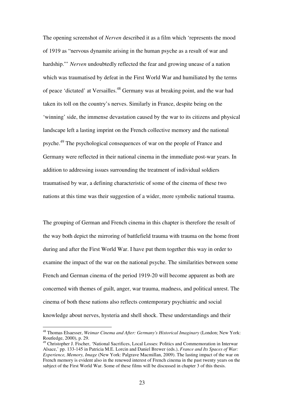The opening screenshot of *Nerven* described it as a film which 'represents the mood of 1919 as "nervous dynamite arising in the human psyche as a result of war and hardship."' *Nerven* undoubtedly reflected the fear and growing unease of a nation which was traumatised by defeat in the First World War and humiliated by the terms of peace 'dictated' at Versailles.<sup>48</sup> Germany was at breaking point, and the war had taken its toll on the country's nerves. Similarly in France, despite being on the 'winning' side, the immense devastation caused by the war to its citizens and physical landscape left a lasting imprint on the French collective memory and the national psyche.<sup>49</sup> The psychological consequences of war on the people of France and Germany were reflected in their national cinema in the immediate post-war years. In addition to addressing issues surrounding the treatment of individual soldiers traumatised by war, a defining characteristic of some of the cinema of these two nations at this time was their suggestion of a wider, more symbolic national trauma.

The grouping of German and French cinema in this chapter is therefore the result of the way both depict the mirroring of battlefield trauma with trauma on the home front during and after the First World War. I have put them together this way in order to examine the impact of the war on the national psyche. The similarities between some French and German cinema of the period 1919-20 will become apparent as both are concerned with themes of guilt, anger, war trauma, madness, and political unrest. The cinema of both these nations also reflects contemporary psychiatric and social knowledge about nerves, hysteria and shell shock. These understandings and their

<sup>48</sup> Thomas Elsaesser, *Weimar Cinema and After: Germany's Historical Imaginary* (London; New York: Routledge, 2000), p. 29.

<sup>49</sup> Christopher J. Fischer, 'National Sacrifices, Local Losses: Politics and Commemoration in Interwar Alsace,' pp. 133-145 in Patricia M.E. Lorcin and Daniel Brewer (eds.), *France and Its Spaces of War: Experience, Memory, Image* (New York: Palgrave Macmillan, 2009). The lasting impact of the war on French memory is evident also in the renewed interest of French cinema in the past twenty years on the subject of the First World War. Some of these films will be discussed in chapter 3 of this thesis.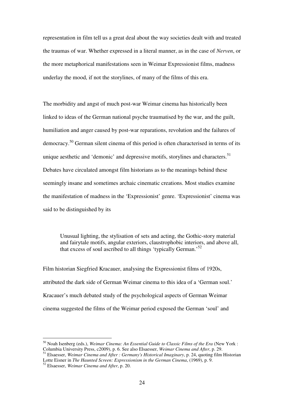representation in film tell us a great deal about the way societies dealt with and treated the traumas of war. Whether expressed in a literal manner, as in the case of *Nerven*, or the more metaphorical manifestations seen in Weimar Expressionist films, madness underlay the mood, if not the storylines, of many of the films of this era.

The morbidity and angst of much post-war Weimar cinema has historically been linked to ideas of the German national psyche traumatised by the war, and the guilt, humiliation and anger caused by post-war reparations, revolution and the failures of democracy.<sup>50</sup> German silent cinema of this period is often characterised in terms of its unique aesthetic and 'demonic' and depressive motifs, storylines and characters.<sup>51</sup> Debates have circulated amongst film historians as to the meanings behind these seemingly insane and sometimes archaic cinematic creations. Most studies examine the manifestation of madness in the 'Expressionist' genre. 'Expressionist' cinema was said to be distinguished by its

Unusual lighting, the stylisation of sets and acting, the Gothic-story material and fairytale motifs, angular exteriors, claustrophobic interiors, and above all, that excess of soul ascribed to all things 'typically German.<sup>52</sup>

Film historian Siegfried Kracauer, analysing the Expressionist films of 1920s, attributed the dark side of German Weimar cinema to this idea of a 'German soul.' Kracauer's much debated study of the psychological aspects of German Weimar cinema suggested the films of the Weimar period exposed the German 'soul' and

<sup>50</sup> Noah Isenberg (eds.), *Weimar Cinema: An Essential Guide to Classic Films of the Era* (New York : Columbia University Press, c2009), p. 6. See also Elsaesser, *Weimar Cinema and After*, p. 29.

<sup>51</sup> Elsaesser, *Weimar Cinema and After : Germany's Historical Imaginary*, p. 24, quoting film Historian Lotte Eisner in *The Haunted Screen: Expressionism in the German Cinema*, (1969), p. 9.

<sup>52</sup> Elsaesser, *Weimar Cinema and After*, p. 20.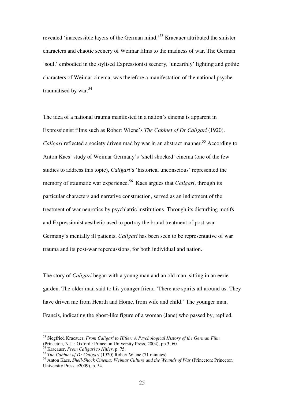revealed 'inaccessible layers of the German mind.'<sup>53</sup> Kracauer attributed the sinister characters and chaotic scenery of Weimar films to the madness of war. The German 'soul,' embodied in the stylised Expressionist scenery, 'unearthly' lighting and gothic characters of Weimar cinema, was therefore a manifestation of the national psyche traumatised by war.<sup>54</sup>

The idea of a national trauma manifested in a nation's cinema is apparent in Expressionist films such as Robert Wiene's *The Cabinet of Dr Caligari* (1920). *Caligari* reflected a society driven mad by war in an abstract manner.<sup>55</sup> According to Anton Kaes' study of Weimar Germany's 'shell shocked' cinema (one of the few studies to address this topic), *Caligari*'s 'historical unconscious' represented the memory of traumatic war experience.<sup>56</sup> Kaes argues that *Caligari*, through its particular characters and narrative construction, served as an indictment of the treatment of war neurotics by psychiatric institutions. Through its disturbing motifs and Expressionist aesthetic used to portray the brutal treatment of post-war Germany's mentally ill patients, *Caligari* has been seen to be representative of war trauma and its post-war repercussions, for both individual and nation.

The story of *Caligari* began with a young man and an old man, sitting in an eerie garden. The older man said to his younger friend 'There are spirits all around us. They have driven me from Hearth and Home, from wife and child.' The younger man, Francis, indicating the ghost-like figure of a woman (Jane) who passed by, replied,

<sup>53</sup> Siegfried Kracauer, *From Caligari to Hitler: A Psychological History of the German Film* (Princeton, N.J. ; Oxford : Princeton University Press, 2004), pp 3; 60.

<sup>54</sup> Kracauer, *From Caligari to Hitler*, p. 75.

<sup>55</sup> *The Cabinet of Dr Caligari* (1920) Robert Wiene (71 minutes)

<sup>&</sup>lt;sup>56</sup> Anton Kaes, *Shell-Shock Cinema: Weimar Culture and the Wounds of War (Princeton: Princeton* University Press, c2009), p. 54.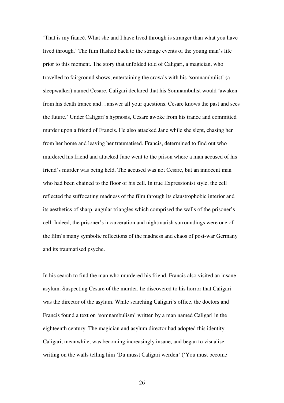'That is my fiancé. What she and I have lived through is stranger than what you have lived through.' The film flashed back to the strange events of the young man's life prior to this moment. The story that unfolded told of Caligari, a magician, who travelled to fairground shows, entertaining the crowds with his 'somnambulist' (a sleepwalker) named Cesare. Caligari declared that his Somnambulist would 'awaken from his death trance and…answer all your questions. Cesare knows the past and sees the future.' Under Caligari's hypnosis, Cesare awoke from his trance and committed murder upon a friend of Francis. He also attacked Jane while she slept, chasing her from her home and leaving her traumatised. Francis, determined to find out who murdered his friend and attacked Jane went to the prison where a man accused of his friend's murder was being held. The accused was not Cesare, but an innocent man who had been chained to the floor of his cell. In true Expressionist style, the cell reflected the suffocating madness of the film through its claustrophobic interior and its aesthetics of sharp, angular triangles which comprised the walls of the prisoner's cell. Indeed, the prisoner's incarceration and nightmarish surroundings were one of the film's many symbolic reflections of the madness and chaos of post-war Germany and its traumatised psyche.

In his search to find the man who murdered his friend, Francis also visited an insane asylum. Suspecting Cesare of the murder, he discovered to his horror that Caligari was the director of the asylum. While searching Caligari's office, the doctors and Francis found a text on 'somnambulism' written by a man named Caligari in the eighteenth century. The magician and asylum director had adopted this identity. Caligari, meanwhile, was becoming increasingly insane, and began to visualise writing on the walls telling him 'Du musst Caligari werden' ('You must become

26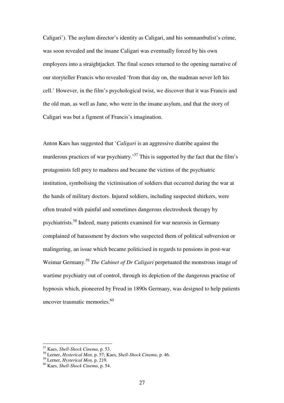Caligari'). The asylum director's identity as Caligari, and his somnambulist's crime, was soon revealed and the insane Caligari was eventually forced by his own employees into a straightjacket. The final scenes returned to the opening narrative of our storyteller Francis who revealed 'from that day on, the madman never left his cell.' However, in the film's psychological twist, we discover that it was Francis and the old man, as well as Jane, who were in the insane asylum, and that the story of Caligari was but a figment of Francis's imagination.

Anton Kaes has suggested that '*Caligari* is an aggressive diatribe against the murderous practices of war psychiatry.<sup>57</sup> This is supported by the fact that the film's protagonists fell prey to madness and became the victims of the psychiatric institution, symbolising the victimisation of soldiers that occurred during the war at the hands of military doctors. Injured soldiers, including suspected shirkers, were often treated with painful and sometimes dangerous electroshock therapy by psychiatrists.<sup>58</sup> Indeed, many patients examined for war neurosis in Germany complained of harassment by doctors who suspected them of political subversion or malingering, an issue which became politicised in regards to pensions in post-war Weimar Germany.<sup>59</sup> *The Cabinet of Dr Caligari* perpetuated the monstrous image of wartime psychiatry out of control, through its depiction of the dangerous practise of hypnosis which, pioneered by Freud in 1890s Germany, was designed to help patients uncover traumatic memories.<sup>60</sup>

<sup>57</sup> Kaes, *Shell-Shock Cinema*, p. 53.

<sup>58</sup> Lerner, *Hysterical Men,* p. 57; Kaes, *Shell-Shock Cinema*, p. 46.

<sup>59</sup> Lerner, *Hysterical Men,* p. 219.

<sup>60</sup> Kaes, *Shell-Shock Cinema*, p. 54.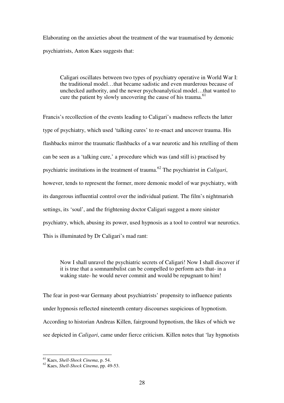Elaborating on the anxieties about the treatment of the war traumatised by demonic psychiatrists, Anton Kaes suggests that:

Caligari oscillates between two types of psychiatry operative in World War I: the traditional model…that became sadistic and even murderous because of unchecked authority, and the newer psychoanalytical model…that wanted to cure the patient by slowly uncovering the cause of his trauma.<sup>61</sup>

Francis's recollection of the events leading to Caligari's madness reflects the latter type of psychiatry, which used 'talking cures' to re-enact and uncover trauma. His flashbacks mirror the traumatic flashbacks of a war neurotic and his retelling of them can be seen as a 'talking cure,' a procedure which was (and still is) practised by psychiatric institutions in the treatment of trauma. <sup>62</sup> The psychiatrist in *Caligari*, however, tends to represent the former, more demonic model of war psychiatry, with its dangerous influential control over the individual patient. The film's nightmarish settings, its 'soul', and the frightening doctor Caligari suggest a more sinister psychiatry, which, abusing its power, used hypnosis as a tool to control war neurotics. This is illuminated by Dr Caligari's mad rant:

Now I shall unravel the psychiatric secrets of Caligari! Now I shall discover if it is true that a somnambulist can be compelled to perform acts that- in a waking state- he would never commit and would be repugnant to him!

The fear in post-war Germany about psychiatrists' propensity to influence patients under hypnosis reflected nineteenth century discourses suspicious of hypnotism. According to historian Andreas Killen, fairground hypnotism, the likes of which we see depicted in *Caligari*, came under fierce criticism. Killen notes that 'lay hypnotists

<sup>61</sup> Kaes, *Shell-Shock Cinema*, p. 54.

<sup>62</sup> Kaes, *Shell-Shock Cinema*, pp. 49-53.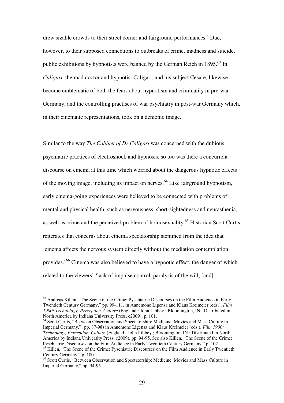drew sizable crowds to their street corner and fairground performances.' Due, however, to their supposed connections to outbreaks of crime, madness and suicide, public exhibitions by hypnotists were banned by the German Reich in  $1895$ .<sup>63</sup> In *Caligari,* the mad doctor and hypnotist Caligari, and his subject Cesare, likewise become emblematic of both the fears about hypnotism and criminality in pre-war Germany, and the controlling practises of war psychiatry in post-war Germany which, in their cinematic representations, took on a demonic image.

Similar to the way *The Cabinet of Dr Caligari* was concerned with the dubious psychiatric practices of electroshock and hypnosis, so too was there a concurrent discourse on cinema at this time which worried about the dangerous hypnotic effects of the moving image, including its impact on nerves.<sup>64</sup> Like fairground hypnotism, early cinema-going experiences were believed to be connected with problems of mental and physical health, such as nervousness, short-sightedness and neurasthenia, as well as crime and the perceived problem of homosexuality.<sup>65</sup> Historian Scott Curtis reiterates that concerns about cinema spectatorship stemmed from the idea that 'cinema affects the nervous system directly without the mediation contemplation provides.'<sup>66</sup> Cinema was also believed to have a hypnotic effect, the danger of which related to the viewers' 'lack of impulse control, paralysis of the will, [and]

 $\overline{a}$ 

<sup>64</sup> Scott Curtis, "Between Observation and Spectatorship: Medicine, Movies and Mass Culture in Imperial Germany," (pp. 87-98) in Annemone Ligensa and Klaus Kreimeier (eds.), *Film 1900: Technology, Perception, Culture* (England : John Libbey ; Bloomington, IN : Distributed in North America by Indiana University Press, c2009), pp. 94-95. See also Killen, "The Scene of the Crime: Pyschiatric Discourses on the Film Audience in Early Twentieth Century Germany," p. 102

<sup>&</sup>lt;sup>63</sup> Andreas Killen, "The Scene of the Crime: Pyschiatric Discourses on the Film Audience in Early Twentieth Century Germany," pp. 99-111, in Annemone Ligensa and Klaus Kreimeier (eds.), *Film 1900: Technology, Perception, Culture* (England : John Libbey ; Bloomington, IN : Distributed in North America by Indiana University Press, c2009), p. 101.

<sup>&</sup>lt;sup>65</sup> Killen, "The Scene of the Crime: Pyschiatric Discourses on the Film Audience in Early Twentieth Century Germany," p. 100.

<sup>66</sup> Scott Curtis, "Between Observation and Spectatorship: Medicine, Movies and Mass Culture in Imperial Germany," pp. 94-95.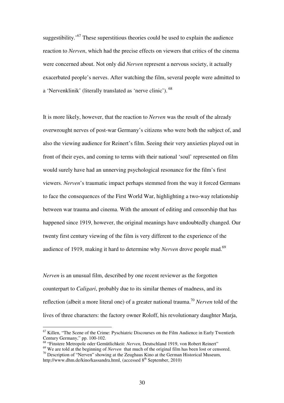suggestibility.<sup> $67$ </sup> These superstitious theories could be used to explain the audience reaction to *Nerven*, which had the precise effects on viewers that critics of the cinema were concerned about. Not only did *Nerven* represent a nervous society, it actually exacerbated people's nerves. After watching the film, several people were admitted to a 'Nervenklinik' (literally translated as 'nerve clinic').<sup>68</sup>

It is more likely, however, that the reaction to *Nerven* was the result of the already overwrought nerves of post-war Germany's citizens who were both the subject of, and also the viewing audience for Reinert's film. Seeing their very anxieties played out in front of their eyes, and coming to terms with their national 'soul' represented on film would surely have had an unnerving psychological resonance for the film's first viewers. *Nerven*'s traumatic impact perhaps stemmed from the way it forced Germans to face the consequences of the First World War, highlighting a two-way relationship between war trauma and cinema. With the amount of editing and censorship that has happened since 1919, however, the original meanings have undoubtedly changed. Our twenty first century viewing of the film is very different to the experience of the audience of 1919, making it hard to determine why *Nerven* drove people mad.<sup>69</sup>

*Nerven* is an unusual film, described by one recent reviewer as the forgotten counterpart to *Caligari*, probably due to its similar themes of madness, and its reflection (albeit a more literal one) of a greater national trauma.<sup>70</sup> *Nerven* told of the lives of three characters: the factory owner Roloff, his revolutionary daughter Marja,

 $67$  Killen, "The Scene of the Crime: Pyschiatric Discourses on the Film Audience in Early Twentieth Century Germany," pp. 100-102.

<sup>68</sup> "Finstere Metropole oder Gemütlichkeit: *Nerven,* Deutschland 1919, von Robert Reinert"

<sup>&</sup>lt;sup>69</sup> We are told at the beginning of *Nerven* that much of the original film has been lost or censored.  $70$  Description of "Nerven" showing at the Zeughaus Kino at the German Historical Museum, http://www.dhm.de/kino/kassandra.html, (accessed 8<sup>th</sup> September, 2010)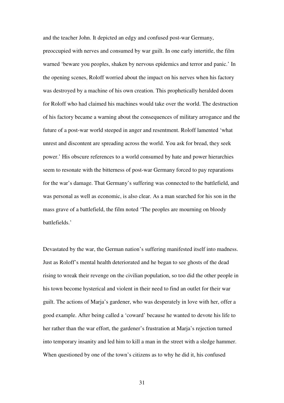and the teacher John. It depicted an edgy and confused post-war Germany, preoccupied with nerves and consumed by war guilt. In one early intertitle, the film warned 'beware you peoples, shaken by nervous epidemics and terror and panic.' In the opening scenes, Roloff worried about the impact on his nerves when his factory was destroyed by a machine of his own creation. This prophetically heralded doom for Roloff who had claimed his machines would take over the world. The destruction of his factory became a warning about the consequences of military arrogance and the future of a post-war world steeped in anger and resentment. Roloff lamented 'what unrest and discontent are spreading across the world. You ask for bread, they seek power.' His obscure references to a world consumed by hate and power hierarchies seem to resonate with the bitterness of post-war Germany forced to pay reparations for the war's damage. That Germany's suffering was connected to the battlefield, and was personal as well as economic, is also clear. As a man searched for his son in the mass grave of a battlefield, the film noted 'The peoples are mourning on bloody battlefields.'

Devastated by the war, the German nation's suffering manifested itself into madness. Just as Roloff's mental health deteriorated and he began to see ghosts of the dead rising to wreak their revenge on the civilian population, so too did the other people in his town become hysterical and violent in their need to find an outlet for their war guilt. The actions of Marja's gardener, who was desperately in love with her, offer a good example. After being called a 'coward' because he wanted to devote his life to her rather than the war effort, the gardener's frustration at Marja's rejection turned into temporary insanity and led him to kill a man in the street with a sledge hammer. When questioned by one of the town's citizens as to why he did it, his confused

31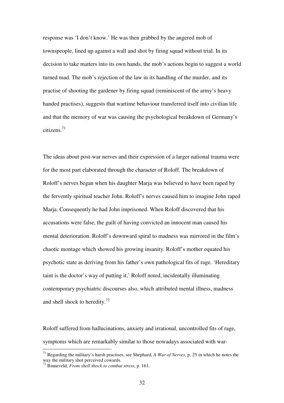response was 'I don't know.' He was then grabbed by the angered mob of townspeople, lined up against a wall and shot by firing squad without trial. In its decision to take matters into its own hands, the mob's actions begin to suggest a world turned mad. The mob's rejection of the law in its handling of the murder, and its practise of shooting the gardener by firing squad (reminiscent of the army's heavy handed practises), suggests that wartime behaviour transferred itself into civilian life and that the memory of war was causing the psychological breakdown of Germany's citizens.<sup>71</sup>

The ideas about post-war nerves and their expression of a larger national trauma were for the most part elaborated through the character of Roloff. The breakdown of Roloff's nerves began when his daughter Marja was believed to have been raped by the fervently spiritual teacher John. Roloff's nerves caused him to imagine John raped Marja. Consequently he had John imprisoned. When Roloff discovered that his accusations were false, the guilt of having convicted an innocent man caused his mental deterioration. Roloff's downward spiral to madness was mirrored in the film's chaotic montage which showed his growing insanity. Roloff's mother equated his psychotic state as deriving from his father's own pathological fits of rage. 'Hereditary taint is the doctor's way of putting it,' Roloff noted, incidentally illuminating contemporary psychiatric discourses also, which attributed mental illness, madness and shell shock to heredity.<sup>72</sup>

Roloff suffered from hallucinations, anxiety and irrational, uncontrolled fits of rage, symptoms which are remarkably similar to those nowadays associated with war-

<sup>71</sup> Regarding the military's harsh practises, see Shephard, *A War of Nerves*, p. 25 in which he notes the way the military shot perceived cowards.

<sup>72</sup> Binneveld, *From shell shock to combat stress*, p. 161.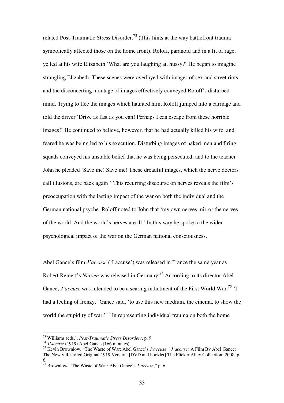related Post-Traumatic Stress Disorder.<sup>73</sup> (This hints at the way battlefront trauma symbolically affected those on the home front). Roloff, paranoid and in a fit of rage, yelled at his wife Elizabeth 'What are you laughing at, hussy?' He began to imagine strangling Elizabeth. These scenes were overlayed with images of sex and street riots and the disconcerting montage of images effectively conveyed Roloff's disturbed mind. Trying to flee the images which haunted him, Roloff jumped into a carriage and told the driver 'Drive as fast as you can! Perhaps I can escape from these horrible images!' He continued to believe, however, that he had actually killed his wife, and feared he was being led to his execution. Disturbing images of naked men and firing squads conveyed his unstable belief that he was being persecuted, and to the teacher John he pleaded 'Save me! Save me! These dreadful images, which the nerve doctors call illusions, are back again!' This recurring discourse on nerves reveals the film's preoccupation with the lasting impact of the war on both the individual and the German national psyche. Roloff noted to John that 'my own nerves mirror the nerves of the world. And the world's nerves are ill.' In this way he spoke to the wider psychological impact of the war on the German national consciousness.

Abel Gance's film *J'accuse* ('I accuse') was released in France the same year as Robert Reinert's *Nerven* was released in Germany.<sup>74</sup> According to its director Abel Gance, *J'accuse* was intended to be a searing indictment of the First World War.<sup>75</sup> 'I had a feeling of frenzy,' Gance said, 'to use this new medium, the cinema, to show the world the stupidity of war.<sup>76</sup> In representing individual trauma on both the home

<sup>73</sup> Williams (eds.), *Post-Traumatic Stress Disorders*, p. 9.

<sup>74</sup> *J'accuse* (1919) Abel Gance (166 minutes)

<sup>75</sup> Kevin Brownlow, "The Waste of War: Abel Gance's *J'accuse*." *J'accuse:* A Film By Abel Gance: The Newly Restored Original 1919 Version. [DVD and booklet] The Flicker Alley Collection: 2008, p. 6.

<sup>76</sup> Brownlow, "The Waste of War: Abel Gance's *J'accuse*," p. 6.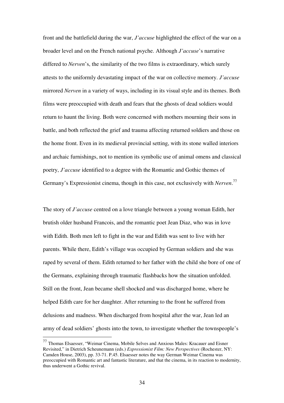front and the battlefield during the war, *J'accuse* highlighted the effect of the war on a broader level and on the French national psyche. Although *J'accuse*'s narrative differed to *Nerven*'s, the similarity of the two films is extraordinary, which surely attests to the uniformly devastating impact of the war on collective memory. *J'accuse* mirrored *Nerven* in a variety of ways, including in its visual style and its themes. Both films were preoccupied with death and fears that the ghosts of dead soldiers would return to haunt the living. Both were concerned with mothers mourning their sons in battle, and both reflected the grief and trauma affecting returned soldiers and those on the home front. Even in its medieval provincial setting, with its stone walled interiors and archaic furnishings, not to mention its symbolic use of animal omens and classical poetry, *J'accuse* identified to a degree with the Romantic and Gothic themes of Germany's Expressionist cinema, though in this case, not exclusively with *Nerven*. 77

The story of *J'accuse* centred on a love triangle between a young woman Edith, her brutish older husband Francois, and the romantic poet Jean Diaz, who was in love with Edith. Both men left to fight in the war and Edith was sent to live with her parents. While there, Edith's village was occupied by German soldiers and she was raped by several of them. Edith returned to her father with the child she bore of one of the Germans, explaining through traumatic flashbacks how the situation unfolded. Still on the front, Jean became shell shocked and was discharged home, where he helped Edith care for her daughter. After returning to the front he suffered from delusions and madness. When discharged from hospital after the war, Jean led an army of dead soldiers' ghosts into the town, to investigate whether the townspeople's

<sup>77</sup> Thomas Elsaesser, "Weimar Cinema, Mobile Selves and Anxious Males: Kracauer and Eisner Revisited," in Dietrich Scheunemann (eds.) *Expressionist Film: New Perspectives* (Rochester, NY: Camden House, 2003), pp. 33-71. P.45. Elsaesser notes the way German Weimar Cinema was preoccupied with Romantic art and fantastic literature, and that the cinema, in its reaction to modernity, thus underwent a Gothic revival.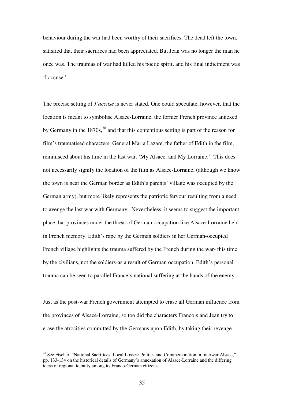behaviour during the war had been worthy of their sacrifices. The dead left the town, satisfied that their sacrifices had been appreciated. But Jean was no longer the man he once was. The traumas of war had killed his poetic spirit, and his final indictment was 'I accuse.'

The precise setting of *J'accuse* is never stated. One could speculate, however, that the location is meant to symbolise Alsace-Lorraine, the former French province annexed by Germany in the  $1870s$ ,<sup>78</sup> and that this contentious setting is part of the reason for film's traumatised characters. General Maria Lazare, the father of Edith in the film, reminisced about his time in the last war. 'My Alsace, and My Lorraine.' This does not necessarily signify the location of the film as Alsace-Lorraine, (although we know the town is near the German border as Edith's parents' village was occupied by the German army), but more likely represents the patriotic fervour resulting from a need to avenge the last war with Germany. Nevertheless, it seems to suggest the important place that provinces under the threat of German occupation like Alsace-Lorraine held in French memory. Edith's rape by the German soldiers in her German-occupied French village highlights the trauma suffered by the French during the war- this time by the civilians, not the soldiers-as a result of German occupation. Edith's personal trauma can be seen to parallel France's national suffering at the hands of the enemy.

Just as the post-war French government attempted to erase all German influence from the provinces of Alsace-Lorraine, so too did the characters Francois and Jean try to erase the atrocities committed by the Germans upon Edith, by taking their revenge

<sup>&</sup>lt;sup>78</sup> See Fischer, "National Sacrifices, Local Losses: Politics and Commemoration in Interwar Alsace," pp. 133-134 on the historical details of Germany's annexation of Alsace-Lorraine and the differing ideas of regional identity among its Franco-German citizens.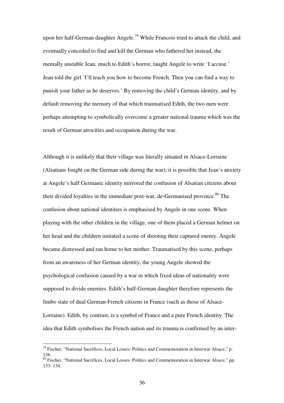upon her half-German daughter Angele.<sup>79</sup> While Francois tried to attack the child, and eventually conceded to find and kill the German who fathered her instead, the mentally unstable Jean, much to Edith's horror, taught Angele to write 'I accuse.' Jean told the girl 'I'll teach you how to become French. Then you can find a way to punish your father as he deserves.' By removing the child's German identity, and by default removing the memory of that which traumatised Edith, the two men were perhaps attempting to symbolically overcome a greater national trauma which was the result of German atrocities and occupation during the war.

Although it is unlikely that their village was literally situated in Alsace-Lorraine (Alsatians fought on the German side during the war), it is possible that Jean's anxiety at Angele's half Germanic identity mirrored the confusion of Alsatian citizens about their divided loyalties in the immediate post-war, de-Germanised province.<sup>80</sup> The confusion about national identities is emphasised by Angele in one scene. When playing with the other children in the village, one of them placed a German helmet on her head and the children imitated a scene of shooting their captured enemy. Angele became distressed and ran home to her mother. Traumatised by this scene, perhaps from an awareness of her German identity, the young Angele showed the psychological confusion caused by a war in which fixed ideas of nationality were supposed to divide enemies. Edith's half-German daughter therefore represents the limbo state of dual German-French citizens in France (such as those of Alsace-Lorraine). Edith, by contrast, is a symbol of France and a pure French identity. The idea that Edith symbolises the French nation and its trauma is confirmed by an inter-

 $79$  Fischer, "National Sacrifices, Local Losses: Politics and Commemoration in Interwar Alsace," p. 136.

<sup>80</sup> Fischer, "National Sacrifices, Local Losses: Politics and Commemoration in Interwar Alsace," pp. 133- 134.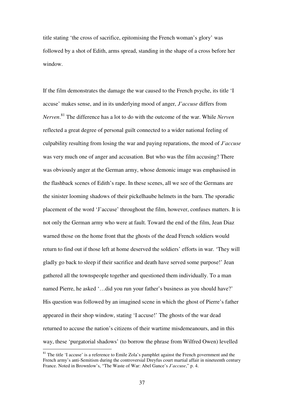title stating 'the cross of sacrifice, epitomising the French woman's glory' was followed by a shot of Edith, arms spread, standing in the shape of a cross before her window.

If the film demonstrates the damage the war caused to the French psyche, its title 'I accuse' makes sense, and in its underlying mood of anger, *J'accuse* differs from *Nerven*. <sup>81</sup> The difference has a lot to do with the outcome of the war. While *Nerven* reflected a great degree of personal guilt connected to a wider national feeling of culpability resulting from losing the war and paying reparations, the mood of *J'accuse* was very much one of anger and accusation. But who was the film accusing? There was obviously anger at the German army, whose demonic image was emphasised in the flashback scenes of Edith's rape. In these scenes, all we see of the Germans are the sinister looming shadows of their pickelhaube helmets in the barn. The sporadic placement of the word 'J'accuse' throughout the film, however, confuses matters. It is not only the German army who were at fault. Toward the end of the film, Jean Diaz warned those on the home front that the ghosts of the dead French soldiers would return to find out if those left at home deserved the soldiers' efforts in war. 'They will gladly go back to sleep if their sacrifice and death have served some purpose!' Jean gathered all the townspeople together and questioned them individually. To a man named Pierre, he asked '…did you run your father's business as you should have?' His question was followed by an imagined scene in which the ghost of Pierre's father appeared in their shop window, stating 'I accuse!' The ghosts of the war dead returned to accuse the nation's citizens of their wartime misdemeanours, and in this way, these 'purgatorial shadows' (to borrow the phrase from Wilfred Owen) levelled

 $81$  The title 'I accuse' is a reference to Emile Zola's pamphlet against the French government and the French army's anti-Semitism during the controversial Dreyfus court martial affair in nineteenth century France. Noted in Brownlow's, "The Waste of War: Abel Gance's *J'accuse*," p. 4.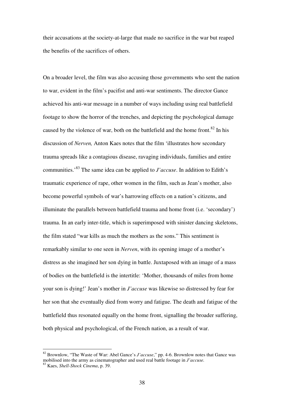their accusations at the society-at-large that made no sacrifice in the war but reaped the benefits of the sacrifices of others.

On a broader level, the film was also accusing those governments who sent the nation to war, evident in the film's pacifist and anti-war sentiments. The director Gance achieved his anti-war message in a number of ways including using real battlefield footage to show the horror of the trenches, and depicting the psychological damage caused by the violence of war, both on the battlefield and the home front.<sup>82</sup> In his discussion of *Nerven,* Anton Kaes notes that the film 'illustrates how secondary trauma spreads like a contagious disease, ravaging individuals, families and entire communities.'<sup>83</sup> The same idea can be applied to *J'accuse*. In addition to Edith's traumatic experience of rape, other women in the film, such as Jean's mother, also become powerful symbols of war's harrowing effects on a nation's citizens, and illuminate the parallels between battlefield trauma and home front (i.e. 'secondary') trauma. In an early inter-title, which is superimposed with sinister dancing skeletons, the film stated "war kills as much the mothers as the sons." This sentiment is remarkably similar to one seen in *Nerven*, with its opening image of a mother's distress as she imagined her son dying in battle. Juxtaposed with an image of a mass of bodies on the battlefield is the intertitle: 'Mother, thousands of miles from home your son is dying!' Jean's mother in *J'accuse* was likewise so distressed by fear for her son that she eventually died from worry and fatigue. The death and fatigue of the battlefield thus resonated equally on the home front, signalling the broader suffering, both physical and psychological, of the French nation, as a result of war.

<sup>82</sup> Brownlow, "The Waste of War: Abel Gance's *J'accuse*," pp. 4-6. Brownlow notes that Gance was mobilised into the army as cinematographer and used real battle footage in *J'accuse.*

<sup>83</sup> Kaes, *Shell-Shock Cinema*, p. 39.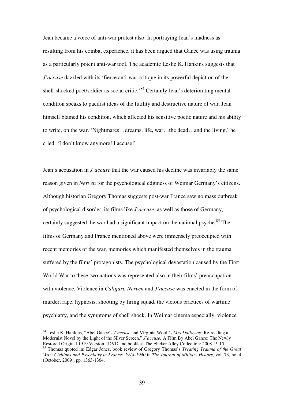Jean became a voice of anti-war protest also. In portraying Jean's madness as resulting from his combat experience, it has been argued that Gance was using trauma as a particularly potent anti-war tool. The academic Leslie K. Hankins suggests that *J'accuse* dazzled with its 'fierce anti-war critique in its powerful depiction of the shell-shocked poet/soldier as social critic.<sup>84</sup> Certainly Jean's deteriorating mental condition speaks to pacifist ideas of the futility and destructive nature of war. Jean himself blamed his condition, which affected his sensitive poetic nature and his ability to write, on the war. 'Nightmares…dreams, life, war…the dead…and the living,' he cried. 'I don't know anymore! I accuse!'

Jean's accusation in *J'accuse* that the war caused his decline was invariably the same reason given in *Nerven* for the psychological edginess of Weimar Germany's citizens. Although historian Gregory Thomas suggests post-war France saw no mass outbreak of psychological disorder, its films like *J'accuse*, as well as those of Germany, certainly suggested the war had a significant impact on the national psyche.<sup>85</sup> The films of Germany and France mentioned above were immensely preoccupied with recent memories of the war, memories which manifested themselves in the trauma suffered by the films' protagonists. The psychological devastation caused by the First World War to these two nations was represented also in their films' preoccupation with violence. Violence in *Caligari, Nerven* and *J'accuse* was enacted in the form of murder, rape, hypnosis, shooting by firing squad, the vicious practices of wartime psychiatry, and the symptoms of shell shock. In Weimar cinema especially, violence

<sup>84</sup> Leslie K. Hankins, "Abel Gance's *J'accuse* and Virginia Woolf's *Mrs Dalloway:* Re-reading a Modernist Novel by the Light of the Silver Screen." *J'accuse:* A Film By Abel Gance: The Newly Restored Original 1919 Version. [DVD and booklet] The Flicker Alley Collection: 2008. P. 15.

<sup>85</sup> Thomas quoted in: Edgar Jones, book review of Gregory Thomas's *Treating Trauma of the Great War: Civilians and Psychiatry in France: 1914-1940* in *The Journal of Military History*, vol. 73, no. 4 (October, 2009), pp. 1363-1364.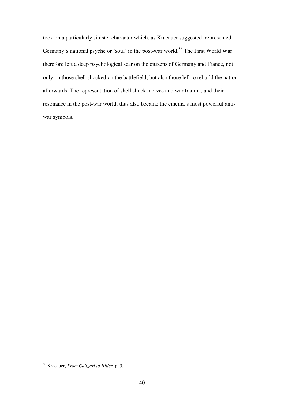took on a particularly sinister character which, as Kracauer suggested, represented Germany's national psyche or 'soul' in the post-war world.<sup>86</sup> The First World War therefore left a deep psychological scar on the citizens of Germany and France, not only on those shell shocked on the battlefield, but also those left to rebuild the nation afterwards. The representation of shell shock, nerves and war trauma, and their resonance in the post-war world, thus also became the cinema's most powerful antiwar symbols.

<sup>86</sup> Kracauer, *From Caligari to Hitler,* p. 3.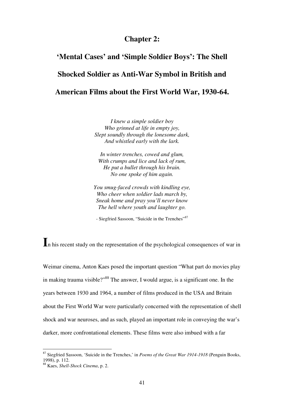#### **Chapter 2:**

# **'Mental Cases' and 'Simple Soldier Boys': The Shell Shocked Soldier as Anti-War Symbol in British and American Films about the First World War, 1930-64.**

*I knew a simple soldier boy Who grinned at life in empty joy, Slept soundly through the lonesome dark, And whistled early with the lark.* 

*In winter trenches, cowed and glum, With crumps and lice and lack of rum, He put a bullet through his brain. No one spoke of him again.* 

*You smug-faced crowds with kindling eye, Who cheer when soldier lads march by, Sneak home and pray you'll never know The hell where youth and laughter go.* 

- Siegfried Sassoon, "Suicide in the Trenches"<sup>87</sup>

In his recent study on the representation of the psychological consequences of war in

Weimar cinema, Anton Kaes posed the important question "What part do movies play in making trauma visible?"<sup>88</sup> The answer, I would argue, is a significant one. In the years between 1930 and 1964, a number of films produced in the USA and Britain about the First World War were particularly concerned with the representation of shell shock and war neuroses, and as such, played an important role in conveying the war's darker, more confrontational elements. These films were also imbued with a far

<sup>87</sup> Siegfried Sassoon, 'Suicide in the Trenches,' in *Poems of the Great War 1914-1918* (Penguin Books, 1998), p. 112.

<sup>88</sup> Kaes, *Shell-Shock Cinema*, p. 2.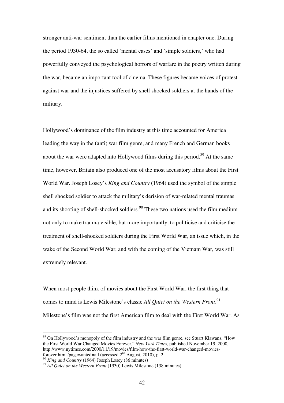stronger anti-war sentiment than the earlier films mentioned in chapter one. During the period 1930-64, the so called 'mental cases' and 'simple soldiers,' who had powerfully conveyed the psychological horrors of warfare in the poetry written during the war, became an important tool of cinema. These figures became voices of protest against war and the injustices suffered by shell shocked soldiers at the hands of the military.

Hollywood's dominance of the film industry at this time accounted for America leading the way in the (anti) war film genre, and many French and German books about the war were adapted into Hollywood films during this period.<sup>89</sup> At the same time, however, Britain also produced one of the most accusatory films about the First World War. Joseph Losey's *King and Country* (1964) used the symbol of the simple shell shocked soldier to attack the military's derision of war-related mental traumas and its shooting of shell-shocked soldiers. $90$  These two nations used the film medium not only to make trauma visible, but more importantly, to politicise and criticise the treatment of shell-shocked soldiers during the First World War, an issue which, in the wake of the Second World War, and with the coming of the Vietnam War, was still extremely relevant.

When most people think of movies about the First World War, the first thing that comes to mind is Lewis Milestone's classic *All Quiet on the Western Front*. 91 Milestone's film was not the first American film to deal with the First World War. As

<sup>&</sup>lt;sup>89</sup> On Hollywood's monopoly of the film industry and the war film genre, see Stuart Klawans, "How the First World War Changed Movies Forever," *New York Times,* published November 19, 2000, http://www.nytimes.com/2000/11/19/movies/film-how-the-first-world-war-changed-moviesforever.html?pagewanted=all (accessed  $2<sup>nd</sup>$  August, 2010), p. 2.

<sup>90</sup> *King and Country* (1964) Joseph Losey (86 minutes)

<sup>&</sup>lt;sup>91</sup> All Quiet on the Western Front (1930) Lewis Milestone (138 minutes)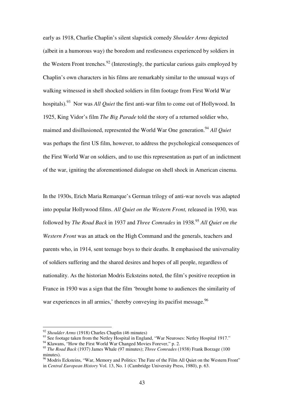early as 1918, Charlie Chaplin's silent slapstick comedy *Shoulder Arms* depicted (albeit in a humorous way) the boredom and restlessness experienced by soldiers in the Western Front trenches.<sup>92</sup> (Interestingly, the particular curious gaits employed by Chaplin's own characters in his films are remarkably similar to the unusual ways of walking witnessed in shell shocked soldiers in film footage from First World War hospitals).<sup>93</sup> Nor was *All Quiet* the first anti-war film to come out of Hollywood. In 1925, King Vidor's film *The Big Parade* told the story of a returned soldier who, maimed and disillusioned, represented the World War One generation.<sup>94</sup> *All Quiet* was perhaps the first US film, however, to address the psychological consequences of the First World War on soldiers, and to use this representation as part of an indictment of the war, igniting the aforementioned dialogue on shell shock in American cinema.

In the 1930s, Erich Maria Remarque's German trilogy of anti-war novels was adapted into popular Hollywood films. *All Quiet on the Western Front,* released in 1930, was followed by *The Road Back* in 1937 and *Three Comrades* in 1938.<sup>95</sup> *All Quiet on the Western Front* was an attack on the High Command and the generals, teachers and parents who, in 1914, sent teenage boys to their deaths. It emphasised the universality of soldiers suffering and the shared desires and hopes of all people, regardless of nationality. As the historian Modris Ecksteins noted, the film's positive reception in France in 1930 was a sign that the film 'brought home to audiences the similarity of war experiences in all armies,' thereby conveying its pacifist message.<sup>96</sup>

<sup>92</sup> *Shoulder Arms* (1918) Charles Chaplin (46 minutes)

 $^{93}$  See footage taken from the Netley Hospital in England, "War Neuroses: Netley Hospital 1917."

<sup>&</sup>lt;sup>94</sup> Klawans, "How the First World War Changed Movies Forever," p. 2.

<sup>95</sup> *The Road Back* (1937) James Whale (97 minutes); *Three Comrades* (1938) Frank Borzage (100 minutes)*.* 

<sup>&</sup>lt;sup>96</sup> Modris Ecksteins, "War, Memory and Politics: The Fate of the Film All Quiet on the Western Front" in *Central European History* Vol. 13, No. 1 (Cambridge University Press, 1980), p. 63.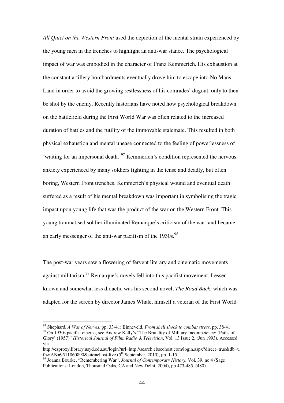*All Quiet on the Western Front* used the depiction of the mental strain experienced by the young men in the trenches to highlight an anti-war stance. The psychological impact of war was embodied in the character of Franz Kemmerich. His exhaustion at the constant artillery bombardments eventually drove him to escape into No Mans Land in order to avoid the growing restlessness of his comrades' dugout, only to then be shot by the enemy. Recently historians have noted how psychological breakdown on the battlefield during the First World War was often related to the increased duration of battles and the futility of the immovable stalemate. This resulted in both physical exhaustion and mental unease connected to the feeling of powerlessness of 'waiting for an impersonal death.'<sup>97</sup> Kemmerich's condition represented the nervous anxiety experienced by many soldiers fighting in the tense and deadly, but often boring, Western Front trenches. Kemmerich's physical wound and eventual death suffered as a result of his mental breakdown was important in symbolising the tragic impact upon young life that was the product of the war on the Western Front. This young traumatised soldier illuminated Remarque's criticism of the war, and became an early messenger of the anti-war pacifism of the  $1930s$ .<sup>98</sup>

The post-war years saw a flowering of fervent literary and cinematic movements against militarism.<sup>99</sup> Remarque's novels fell into this pacifist movement. Lesser known and somewhat less didactic was his second novel, *The Road Back*, which was adapted for the screen by director James Whale, himself a veteran of the First World

<sup>97</sup> Shephard, *A War of Nerves*, pp. 33-41; Binneveld, *From shell shock to combat stress*, pp. 38-41. <sup>98</sup> On 1930s pacifist cinema, see Andrew Kelly's "The Brutality of Military Incompetence: 'Paths of

Glory' (1957)" *Historical Journal of Film, Radio & Television*, Vol. 13 Issue 2, (Jun 1993), Accessed via

http://ezproxy.library.usyd.edu.au/login?url=http://search.ebscohost.com/login.aspx?direct=true&db=u fh&AN=9511060890&site=ehost-live ( $5<sup>th</sup>$  September, 2010), pp. 1-15

<sup>99</sup> Joanna Bourke, "Remembering War", *Journal of Contemporary History,* Vol. 39, no 4 (Sage Publications: London, Thousand Oaks, CA and New Delhi, 2004), pp 473-485. (480)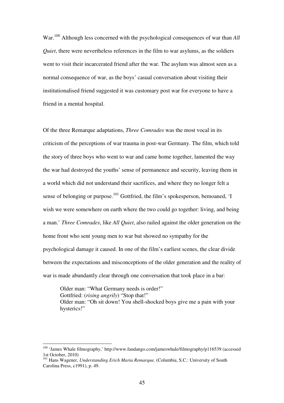War.<sup>100</sup> Although less concerned with the psychological consequences of war than *All Quiet*, there were nevertheless references in the film to war asylums, as the soldiers went to visit their incarcerated friend after the war. The asylum was almost seen as a normal consequence of war, as the boys' casual conversation about visiting their institutionalised friend suggested it was customary post war for everyone to have a friend in a mental hospital.

Of the three Remarque adaptations, *Three Comrades* was the most vocal in its criticism of the perceptions of war trauma in post-war Germany. The film, which told the story of three boys who went to war and came home together, lamented the way the war had destroyed the youths' sense of permanence and security, leaving them in a world which did not understand their sacrifices, and where they no longer felt a sense of belonging or purpose.<sup>101</sup> Gottfried, the film's spokesperson, bemoaned, 'I wish we were somewhere on earth where the two could go together: living, and being a man.' *Three Comrades*, like *All Quiet*, also railed against the older generation on the home front who sent young men to war but showed no sympathy for the psychological damage it caused. In one of the film's earliest scenes, the clear divide between the expectations and misconceptions of the older generation and the reality of war is made abundantly clear through one conversation that took place in a bar:

Older man: "What Germany needs is order!" Gottfried: (*rising angrily*) "Stop that!" Older man: "Oh sit down! You shell-shocked boys give me a pain with your hysterics!"

<sup>&</sup>lt;sup>100</sup> 'James Whale filmography,' http://www.fandango.com/jameswhale/filmography/p116539 (accessed 1st October, 2010)

<sup>101</sup> Hans Wagener, *Understanding Erich Maria Remarque,* (Columbia, S.C.: University of South Carolina Press, c1991), p. 49.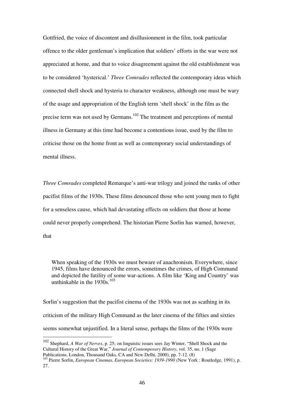Gottfried, the voice of discontent and disillusionment in the film, took particular offence to the older gentleman's implication that soldiers' efforts in the war were not appreciated at home, and that to voice disagreement against the old establishment was to be considered 'hysterical.' *Three Comrades* reflected the contemporary ideas which connected shell shock and hysteria to character weakness, although one must be wary of the usage and appropriation of the English term 'shell shock' in the film as the precise term was not used by Germans.<sup>102</sup> The treatment and perceptions of mental illness in Germany at this time had become a contentious issue, used by the film to criticise those on the home front as well as contemporary social understandings of mental illness.

*Three Comrades* completed Remarque's anti-war trilogy and joined the ranks of other pacifist films of the 1930s. These films denounced those who sent young men to fight for a senseless cause, which had devastating effects on soldiers that those at home could never properly comprehend. The historian Pierre Sorlin has warned, however, that

When speaking of the 1930s we must beware of anachronism. Everywhere, since 1945, films have denounced the errors, sometimes the crimes, of High Command and depicted the futility of some war-actions. A film like 'King and Country' was unthinkable in the  $1930s$ .<sup>103</sup>

Sorlin's suggestion that the pacifist cinema of the 1930s was not as scathing in its criticism of the military High Command as the later cinema of the fifties and sixties seems somewhat unjustified. In a literal sense, perhaps the films of the 1930s were

 $\overline{\phantom{a}}$ 

<sup>102</sup> Shephard, *A War of Nerves*, p. 25; on linguistic issues sees Jay Winter, "Shell Shock and the Cultural History of the Great War," *Journal of Contemporary History*, vol. 35, no. 1 (Sage Publications, London, Thousand Oaks, CA and New Delhi, 2000), pp. 7-12. (8)

<sup>103</sup> Pierre Sorlin, *European Cinemas, European Societies: 1939-1990* (New York : Routledge, 1991), p. 27.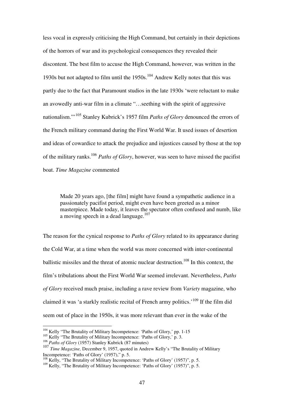less vocal in expressly criticising the High Command, but certainly in their depictions of the horrors of war and its psychological consequences they revealed their discontent. The best film to accuse the High Command, however, was written in the 1930s but not adapted to film until the  $1950s$ .<sup>104</sup> Andrew Kelly notes that this was partly due to the fact that Paramount studios in the late 1930s 'were reluctant to make an avowedly anti-war film in a climate "…seething with the spirit of aggressive nationalism."'<sup>105</sup> Stanley Kubrick's 1957 film *Paths of Glory* denounced the errors of the French military command during the First World War. It used issues of desertion and ideas of cowardice to attack the prejudice and injustices caused by those at the top of the military ranks.<sup>106</sup> *Paths of Glory*, however, was seen to have missed the pacifist boat. *Time Magazine* commented

Made 20 years ago, [the film] might have found a sympathetic audience in a passionately pacifist period, might even have been greeted as a minor masterpiece. Made today, it leaves the spectator often confused and numb, like a moving speech in a dead language.<sup>107</sup>

The reason for the cynical response to *Paths of Glory* related to its appearance during the Cold War, at a time when the world was more concerned with inter-continental ballistic missiles and the threat of atomic nuclear destruction.<sup>108</sup> In this context, the film's tribulations about the First World War seemed irrelevant. Nevertheless, *Paths of Glory* received much praise, including a rave review from *Variety* magazine, who claimed it was 'a starkly realistic recital of French army politics.'<sup>109</sup> If the film did seem out of place in the 1950s, it was more relevant than ever in the wake of the

<sup>&</sup>lt;sup>104</sup> Kelly "The Brutality of Military Incompetence: 'Paths of Glory,' pp. 1-15

<sup>&</sup>lt;sup>105</sup> Kelly "The Brutality of Military Incompetence: 'Paths of Glory,' p. 3.

<sup>106</sup> *Paths of Glory* (1957) Stanley Kubrick (87 minutes)

<sup>107</sup> *Time Magazine,* December 9, 1957, quoted in Andrew Kelly's "The Brutality of Military Incompetence: 'Paths of Glory' (1957)," p. 5.

<sup>&</sup>lt;sup>108</sup> Kelly, "The Brutality of Military Incompetence: 'Paths of Glory' (1957)", p. 5.

<sup>&</sup>lt;sup>109</sup> Kelly, "The Brutality of Military Incompetence: 'Paths of Glory' (1957)", p. 5.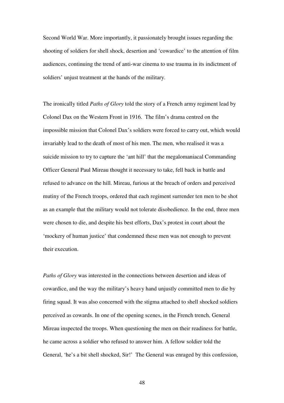Second World War. More importantly, it passionately brought issues regarding the shooting of soldiers for shell shock, desertion and 'cowardice' to the attention of film audiences, continuing the trend of anti-war cinema to use trauma in its indictment of soldiers' unjust treatment at the hands of the military.

The ironically titled *Paths of Glory* told the story of a French army regiment lead by Colonel Dax on the Western Front in 1916. The film's drama centred on the impossible mission that Colonel Dax's soldiers were forced to carry out, which would invariably lead to the death of most of his men. The men, who realised it was a suicide mission to try to capture the 'ant hill' that the megalomaniacal Commanding Officer General Paul Mireau thought it necessary to take, fell back in battle and refused to advance on the hill. Mireau, furious at the breach of orders and perceived mutiny of the French troops, ordered that each regiment surrender ten men to be shot as an example that the military would not tolerate disobedience. In the end, three men were chosen to die, and despite his best efforts, Dax's protest in court about the 'mockery of human justice' that condemned these men was not enough to prevent their execution.

*Paths of Glory* was interested in the connections between desertion and ideas of cowardice, and the way the military's heavy hand unjustly committed men to die by firing squad. It was also concerned with the stigma attached to shell shocked soldiers perceived as cowards. In one of the opening scenes, in the French trench, General Mireau inspected the troops. When questioning the men on their readiness for battle, he came across a soldier who refused to answer him. A fellow soldier told the General, 'he's a bit shell shocked, Sir!' The General was enraged by this confession,

48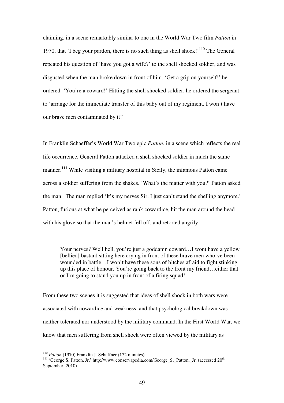claiming, in a scene remarkably similar to one in the World War Two film *Patton* in 1970, that 'I beg your pardon, there is no such thing as shell shock!'<sup>110</sup> The General repeated his question of 'have you got a wife?' to the shell shocked soldier, and was disgusted when the man broke down in front of him. 'Get a grip on yourself!' he ordered. 'You're a coward!' Hitting the shell shocked soldier, he ordered the sergeant to 'arrange for the immediate transfer of this baby out of my regiment. I won't have our brave men contaminated by it!'

In Franklin Schaeffer's World War Two epic *Patton*, in a scene which reflects the real life occurrence, General Patton attacked a shell shocked soldier in much the same manner.<sup>111</sup> While visiting a military hospital in Sicily, the infamous Patton came across a soldier suffering from the shakes. 'What's the matter with you?' Patton asked the man. The man replied 'It's my nerves Sir. I just can't stand the shelling anymore.' Patton, furious at what he perceived as rank cowardice, hit the man around the head with his glove so that the man's helmet fell off, and retorted angrily,

Your nerves? Well hell, you're just a goddamn coward...I wont have a yellow [bellied] bastard sitting here crying in front of these brave men who've been wounded in battle…I won't have these sons of bitches afraid to fight stinking up this place of honour. You're going back to the front my friend…either that or I'm going to stand you up in front of a firing squad!

From these two scenes it is suggested that ideas of shell shock in both wars were associated with cowardice and weakness, and that psychological breakdown was neither tolerated nor understood by the military command. In the First World War, we know that men suffering from shell shock were often viewed by the military as

<sup>110</sup> *Patton* (1970) Franklin J. Schaffner (172 minutes**)** 

<sup>&</sup>lt;sup>111</sup> 'George S. Patton, Jr,' http://www.conservapedia.com/George\_S.\_Patton,\_Jr. (accessed 20<sup>th</sup>) September, 2010)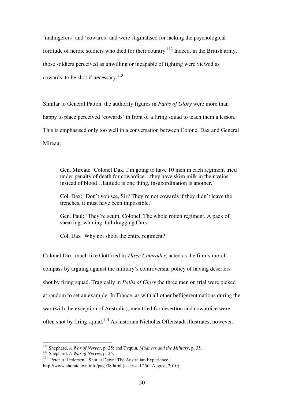'malingerers' and 'cowards' and were stigmatised for lacking the psychological fortitude of heroic soldiers who died for their country.<sup>112</sup> Indeed, in the British army, those soldiers perceived as unwilling or incapable of fighting were viewed as cowards, to be shot if necessary.<sup>113</sup>

Similar to General Patton, the authority figures in *Paths of Glory* were more than happy to place perceived 'cowards' in front of a firing squad to teach them a lesson. This is emphasised only too well in a conversation between Colonel Dax and General Mireau:

Gen. Mireau: 'Colonel Dax, I'm going to have 10 men in each regiment tried under penalty of death for cowardice…they have skim milk in their veins instead of blood…latitude is one thing, insubordination is another.'

Col. Dax: 'Don't you see, Sir? They're not cowards if they didn't leave the trenches, it must have been impossible.'

Gen. Paul: 'They're scum, Colonel. The whole rotten regiment. A pack of sneaking, whining, tail-dragging Curs.'

Col. Dax 'Why not shoot the entire regiment?'

Colonel Dax, much like Gottfried in *Three Comrades*, acted as the film's moral compass by arguing against the military's controversial policy of having deserters shot by firing squad. Tragically in *Paths of Glory* the three men on trial were picked at random to set an example. In France, as with all other belligerent nations during the war (with the exception of Australia), men tried for desertion and cowardice were often shot by firing squad.<sup>114</sup> As historian Nicholas Offenstadt illustrates, however,

<sup>112</sup> Shephard, *A War of Nerves*, p. 25; and Tyquin, *Madness and the Military*, p. 35.

<sup>113</sup> Shephard, *A War of Nerves*, p. 25.

<sup>114</sup> Peter A. Pedersen, "Shot at Dawn: The Australian Experience,"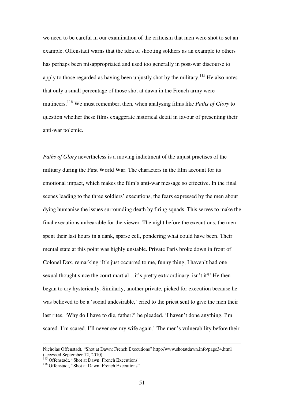we need to be careful in our examination of the criticism that men were shot to set an example. Offenstadt warns that the idea of shooting soldiers as an example to others has perhaps been misappropriated and used too generally in post-war discourse to apply to those regarded as having been unjustly shot by the military.<sup>115</sup> He also notes that only a small percentage of those shot at dawn in the French army were mutineers.<sup>116</sup> We must remember, then, when analysing films like *Paths of Glory* to question whether these films exaggerate historical detail in favour of presenting their anti-war polemic.

*Paths of Glory* nevertheless is a moving indictment of the unjust practises of the military during the First World War. The characters in the film account for its emotional impact, which makes the film's anti-war message so effective. In the final scenes leading to the three soldiers' executions, the fears expressed by the men about dying humanise the issues surrounding death by firing squads. This serves to make the final executions unbearable for the viewer. The night before the executions, the men spent their last hours in a dank, sparse cell, pondering what could have been. Their mental state at this point was highly unstable. Private Paris broke down in front of Colonel Dax, remarking 'It's just occurred to me, funny thing, I haven't had one sexual thought since the court martial…it's pretty extraordinary, isn't it?' He then began to cry hysterically. Similarly, another private, picked for execution because he was believed to be a 'social undesirable,' cried to the priest sent to give the men their last rites. 'Why do I have to die, father?' he pleaded. 'I haven't done anything. I'm scared. I'm scared. I'll never see my wife again.' The men's vulnerability before their

Nicholas Offenstadt, "Shot at Dawn: French Executions" http://www.shotatdawn.info/page34.html (accessed September 12, 2010)

<sup>&</sup>lt;sup>115</sup> Offenstadt, "Shot at Dawn: French Executions"

<sup>&</sup>lt;sup>116</sup> Offenstadt, "Shot at Dawn: French Executions"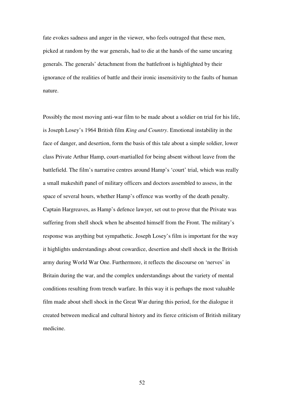fate evokes sadness and anger in the viewer, who feels outraged that these men, picked at random by the war generals, had to die at the hands of the same uncaring generals. The generals' detachment from the battlefront is highlighted by their ignorance of the realities of battle and their ironic insensitivity to the faults of human nature.

Possibly the most moving anti-war film to be made about a soldier on trial for his life, is Joseph Losey's 1964 British film *King and Country*. Emotional instability in the face of danger, and desertion, form the basis of this tale about a simple soldier, lower class Private Arthur Hamp, court-martialled for being absent without leave from the battlefield. The film's narrative centres around Hamp's 'court' trial, which was really a small makeshift panel of military officers and doctors assembled to assess, in the space of several hours, whether Hamp's offence was worthy of the death penalty. Captain Hargreaves, as Hamp's defence lawyer, set out to prove that the Private was suffering from shell shock when he absented himself from the Front. The military's response was anything but sympathetic. Joseph Losey's film is important for the way it highlights understandings about cowardice, desertion and shell shock in the British army during World War One. Furthermore, it reflects the discourse on 'nerves' in Britain during the war, and the complex understandings about the variety of mental conditions resulting from trench warfare. In this way it is perhaps the most valuable film made about shell shock in the Great War during this period, for the dialogue it created between medical and cultural history and its fierce criticism of British military medicine.

52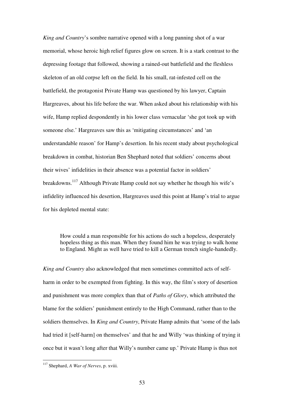*King and Country*'s sombre narrative opened with a long panning shot of a war memorial, whose heroic high relief figures glow on screen. It is a stark contrast to the depressing footage that followed, showing a rained-out battlefield and the fleshless skeleton of an old corpse left on the field. In his small, rat-infested cell on the battlefield, the protagonist Private Hamp was questioned by his lawyer, Captain Hargreaves, about his life before the war. When asked about his relationship with his wife, Hamp replied despondently in his lower class vernacular 'she got took up with someone else.' Hargreaves saw this as 'mitigating circumstances' and 'an understandable reason' for Hamp's desertion. In his recent study about psychological breakdown in combat, historian Ben Shephard noted that soldiers' concerns about their wives' infidelities in their absence was a potential factor in soldiers' breakdowns.<sup>117</sup> Although Private Hamp could not say whether he though his wife's infidelity influenced his desertion, Hargreaves used this point at Hamp's trial to argue for his depleted mental state:

How could a man responsible for his actions do such a hopeless, desperately hopeless thing as this man. When they found him he was trying to walk home to England. Might as well have tried to kill a German trench single-handedly.

*King and Country* also acknowledged that men sometimes committed acts of selfharm in order to be exempted from fighting. In this way, the film's story of desertion and punishment was more complex than that of *Paths of Glory*, which attributed the blame for the soldiers' punishment entirely to the High Command, rather than to the soldiers themselves. In *King and Country*, Private Hamp admits that 'some of the lads had tried it [self-harm] on themselves' and that he and Willy 'was thinking of trying it once but it wasn't long after that Willy's number came up.' Private Hamp is thus not

<sup>117</sup> Shephard, *A War of Nerves*, p. xviii.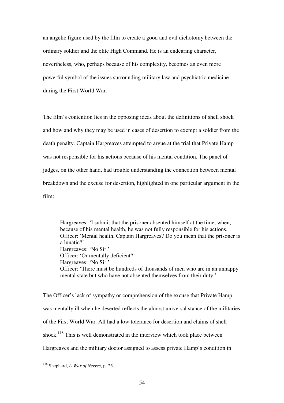an angelic figure used by the film to create a good and evil dichotomy between the ordinary soldier and the elite High Command. He is an endearing character, nevertheless, who, perhaps because of his complexity, becomes an even more powerful symbol of the issues surrounding military law and psychiatric medicine during the First World War.

The film's contention lies in the opposing ideas about the definitions of shell shock and how and why they may be used in cases of desertion to exempt a soldier from the death penalty. Captain Hargreaves attempted to argue at the trial that Private Hamp was not responsible for his actions because of his mental condition. The panel of judges, on the other hand, had trouble understanding the connection between mental breakdown and the excuse for desertion, highlighted in one particular argument in the film:

Hargreaves: 'I submit that the prisoner absented himself at the time, when, because of his mental health, he was not fully responsible for his actions. Officer: 'Mental health, Captain Hargreaves? Do you mean that the prisoner is a lunatic?' Hargreaves: 'No Sir.' Officer: 'Or mentally deficient?' Hargreaves: 'No Sir.' Officer: 'There must be hundreds of thousands of men who are in an unhappy mental state but who have not absented themselves from their duty.'

The Officer's lack of sympathy or comprehension of the excuse that Private Hamp was mentally ill when he deserted reflects the almost universal stance of the militaries of the First World War. All had a low tolerance for desertion and claims of shell shock.<sup>118</sup> This is well demonstrated in the interview which took place between Hargreaves and the military doctor assigned to assess private Hamp's condition in

 $\overline{a}$ <sup>118</sup> Shephard, *A War of Nerves*, p. 25.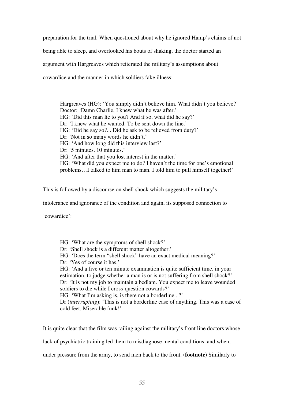preparation for the trial. When questioned about why he ignored Hamp's claims of not being able to sleep, and overlooked his bouts of shaking, the doctor started an argument with Hargreaves which reiterated the military's assumptions about cowardice and the manner in which soldiers fake illness:

 Hargreaves (HG): 'You simply didn't believe him. What didn't you believe?' Doctor: 'Damn Charlie, I knew what he was after.' HG: 'Did this man lie to you? And if so, what did he say?' Dr: 'I knew what he wanted. To be sent down the line.' HG: 'Did he say so?... Did he ask to be relieved from duty?' Dr: 'Not in so many words he didn't." HG: 'And how long did this interview last?' Dr: '5 minutes, 10 minutes.' HG: 'And after that you lost interest in the matter.' HG: 'What did you expect me to do? I haven't the time for one's emotional problems…I talked to him man to man. I told him to pull himself together!'

This is followed by a discourse on shell shock which suggests the military's

intolerance and ignorance of the condition and again, its supposed connection to

'cowardice':

 HG: 'What are the symptoms of shell shock?' Dr: 'Shell shock is a different matter altogether.' HG: 'Does the term "shell shock" have an exact medical meaning?' Dr: 'Yes of course it has.' HG: 'And a five or ten minute examination is quite sufficient time, in your estimation, to judge whether a man is or is not suffering from shell shock?' Dr: 'It is not my job to maintain a bedlam. You expect me to leave wounded soldiers to die while I cross-question cowards?' HG: 'What I'm asking is, is there not a borderline...?' Dr (*interrupting*): 'This is not a borderline case of anything. This was a case of cold feet. Miserable funk!'

It is quite clear that the film was railing against the military's front line doctors whose

lack of psychiatric training led them to misdiagnose mental conditions, and when,

under pressure from the army, to send men back to the front. **(footnote)** Similarly to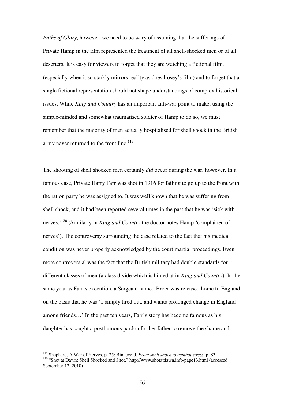*Paths of Glory*, however, we need to be wary of assuming that the sufferings of Private Hamp in the film represented the treatment of all shell-shocked men or of all deserters. It is easy for viewers to forget that they are watching a fictional film, (especially when it so starkly mirrors reality as does Losey's film) and to forget that a single fictional representation should not shape understandings of complex historical issues. While *King and Country* has an important anti-war point to make, using the simple-minded and somewhat traumatised soldier of Hamp to do so, we must remember that the majority of men actually hospitalised for shell shock in the British army never returned to the front line.<sup>119</sup>

The shooting of shell shocked men certainly *did* occur during the war, however. In a famous case, Private Harry Farr was shot in 1916 for failing to go up to the front with the ration party he was assigned to. It was well known that he was suffering from shell shock, and it had been reported several times in the past that he was 'sick with nerves.<sup>'120</sup> (Similarly in *King and Country* the doctor notes Hamp 'complained of nerves'). The controversy surrounding the case related to the fact that his medical condition was never properly acknowledged by the court martial proceedings. Even more controversial was the fact that the British military had double standards for different classes of men (a class divide which is hinted at in *King and Country*). In the same year as Farr's execution, a Sergeant named Brocr was released home to England on the basis that he was '...simply tired out, and wants prolonged change in England among friends…' In the past ten years, Farr's story has become famous as his daughter has sought a posthumous pardon for her father to remove the shame and

<sup>119</sup> Shephard, A War of Nerves, p. 25; Binneveld, *From shell shock to combat stress*, p. 83. <sup>120</sup> "Shot at Dawn: Shell Shocked and Shot," http://www.shotatdawn.info/page13.html (accessed September 12, 2010)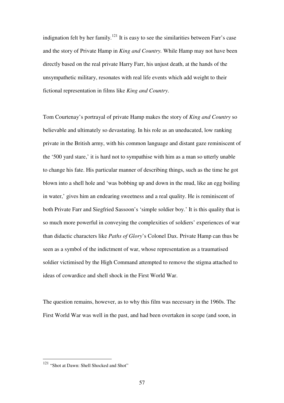indignation felt by her family.<sup>121</sup> It is easy to see the similarities between Farr's case and the story of Private Hamp in *King and Country.* While Hamp may not have been directly based on the real private Harry Farr, his unjust death, at the hands of the unsympathetic military, resonates with real life events which add weight to their fictional representation in films like *King and Country*.

Tom Courtenay's portrayal of private Hamp makes the story of *King and Country* so believable and ultimately so devastating. In his role as an uneducated, low ranking private in the British army, with his common language and distant gaze reminiscent of the '500 yard stare,' it is hard not to sympathise with him as a man so utterly unable to change his fate. His particular manner of describing things, such as the time he got blown into a shell hole and 'was bobbing up and down in the mud, like an egg boiling in water,' gives him an endearing sweetness and a real quality. He is reminiscent of both Private Farr and Siegfried Sassoon's 'simple soldier boy.' It is this quality that is so much more powerful in conveying the complexities of soldiers' experiences of war than didactic characters like *Paths of Glory*'s Colonel Dax. Private Hamp can thus be seen as a symbol of the indictment of war, whose representation as a traumatised soldier victimised by the High Command attempted to remove the stigma attached to ideas of cowardice and shell shock in the First World War.

The question remains, however, as to why this film was necessary in the 1960s. The First World War was well in the past, and had been overtaken in scope (and soon, in

<sup>&</sup>lt;sup>121</sup> "Shot at Dawn: Shell Shocked and Shot"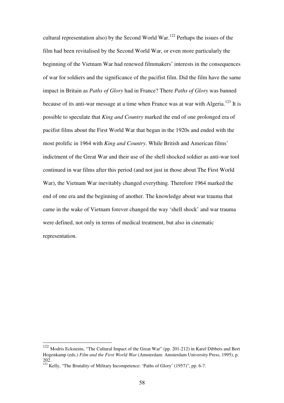cultural representation also) by the Second World War.<sup>122</sup> Perhaps the issues of the film had been revitalised by the Second World War, or even more particularly the beginning of the Vietnam War had renewed filmmakers' interests in the consequences of war for soldiers and the significance of the pacifist film. Did the film have the same impact in Britain as *Paths of Glory* had in France? There *Paths of Glory* was banned because of its anti-war message at a time when France was at war with Algeria.<sup>123</sup> It is possible to speculate that *King and Country* marked the end of one prolonged era of pacifist films about the First World War that began in the 1920s and ended with the most prolific in 1964 with *King and Country*. While British and American films' indictment of the Great War and their use of the shell shocked soldier as anti-war tool continued in war films after this period (and not just in those about The First World War), the Vietnam War inevitably changed everything. Therefore 1964 marked the end of one era and the beginning of another. The knowledge about war trauma that came in the wake of Vietnam forever changed the way 'shell shock' and war trauma were defined, not only in terms of medical treatment, but also in cinematic representation.

<sup>&</sup>lt;sup>122</sup> Modris Ecksteins, "The Cultural Impact of the Great War" (pp. 201-212) in Karel Dibbets and Bert Hogenkamp (eds.) *Film and the First World War* (Amsterdam: Amsterdam University Press, 1995), p. 202.

 $123$  Kelly, "The Brutality of Military Incompetence: 'Paths of Glory' (1957)", pp. 6-7.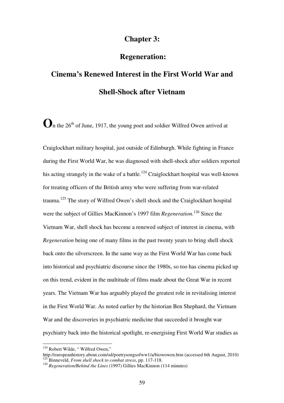#### **Chapter 3:**

### **Regeneration:**

## **Cinema's Renewed Interest in the First World War and Shell-Shock after Vietnam**

 $\mathbf{O}_n$  the 26<sup>th</sup> of June, 1917, the young poet and soldier Wilfred Owen arrived at

Craiglockhart military hospital, just outside of Edinburgh. While fighting in France during the First World War, he was diagnosed with shell-shock after soldiers reported his acting strangely in the wake of a battle.<sup>124</sup> Craiglockhart hospital was well-known for treating officers of the British army who were suffering from war-related trauma.<sup>125</sup> The story of Wilfred Owen's shell shock and the Craiglockhart hospital were the subject of Gillies MacKinnon's 1997 film *Regeneration.*<sup>126</sup> Since the Vietnam War, shell shock has become a renewed subject of interest in cinema, with *Regeneration* being one of many films in the past twenty years to bring shell shock back onto the silverscreen. In the same way as the First World War has come back into historical and psychiatric discourse since the 1980s, so too has cinema picked up on this trend, evident in the multitude of films made about the Great War in recent years. The Vietnam War has arguably played the greatest role in revitalising interest in the First World War. As noted earlier by the historian Ben Shephard, the Vietnam War and the discoveries in psychiatric medicine that succeeded it brought war psychiatry back into the historical spotlight, re-energising First World War studies as

<sup>&</sup>lt;sup>124</sup> Robert Wilde, "Wilfred Owen,"

http://europeanhistory.about.com/od/poetrysongsofww1/a/biowowen.htm (accessed 6th August, 2010) <sup>125</sup> Binneveld, *From shell shock to combat stress*, pp. 117-118.

<sup>126</sup> *Regeneration/Behind the Lines* (1997) Gillies MacKinnon (114 minutes)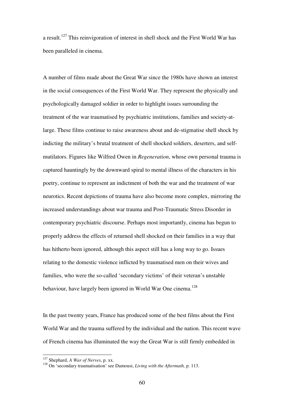a result.<sup>127</sup> This reinvigoration of interest in shell shock and the First World War has been paralleled in cinema.

A number of films made about the Great War since the 1980s have shown an interest in the social consequences of the First World War. They represent the physically and psychologically damaged soldier in order to highlight issues surrounding the treatment of the war traumatised by psychiatric institutions, families and society-atlarge. These films continue to raise awareness about and de-stigmatise shell shock by indicting the military's brutal treatment of shell shocked soldiers, deserters, and selfmutilators. Figures like Wilfred Owen in *Regeneration*, whose own personal trauma is captured hauntingly by the downward spiral to mental illness of the characters in his poetry, continue to represent an indictment of both the war and the treatment of war neurotics. Recent depictions of trauma have also become more complex, mirroring the increased understandings about war trauma and Post-Traumatic Stress Disorder in contemporary psychiatric discourse. Perhaps most importantly, cinema has begun to properly address the effects of returned shell shocked on their families in a way that has hitherto been ignored, although this aspect still has a long way to go. Issues relating to the domestic violence inflicted by traumatised men on their wives and families, who were the so-called 'secondary victims' of their veteran's unstable behaviour, have largely been ignored in World War One cinema.<sup>128</sup>

In the past twenty years, France has produced some of the best films about the First World War and the trauma suffered by the individual and the nation. This recent wave of French cinema has illuminated the way the Great War is still firmly embedded in

<sup>127</sup> Shephard, *A War of Nerves*, p. xx.

<sup>128</sup> On 'secondary traumatisation' see Damousi, *Living with the Aftermath*, p. 113.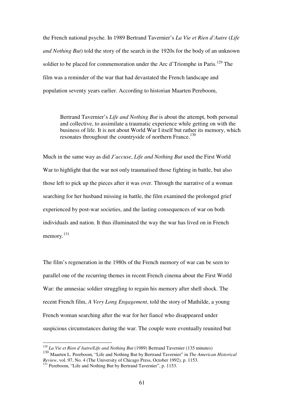the French national psyche. In 1989 Bertrand Tavernier's *La Vie et Rien d'Autre* (*Life and Nothing But*) told the story of the search in the 1920s for the body of an unknown soldier to be placed for commemoration under the Arc d'Triomphe in Paris.<sup>129</sup> The film was a reminder of the war that had devastated the French landscape and population seventy years earlier. According to historian Maarten Pereboom,

Bertrand Tavernier's *Life and Nothing But* is about the attempt, both personal and collective, to assimilate a traumatic experience while getting on with the business of life. It is not about World War I itself but rather its memory, which resonates throughout the countryside of northern France.<sup>130</sup>

Much in the same way as did *J'accuse*, *Life and Nothing But* used the First World War to highlight that the war not only traumatised those fighting in battle, but also those left to pick up the pieces after it was over. Through the narrative of a woman searching for her husband missing in battle, the film examined the prolonged grief experienced by post-war societies, and the lasting consequences of war on both individuals and nation. It thus illuminated the way the war has lived on in French memory.<sup>131</sup>

The film's regeneration in the 1980s of the French memory of war can be seen to parallel one of the recurring themes in recent French cinema about the First World War: the amnesiac soldier struggling to regain his memory after shell shock. The recent French film, *A Very Long Engagement*, told the story of Mathilde, a young French woman searching after the war for her fiancé who disappeared under suspicious circumstances during the war. The couple were eventually reunited but

<sup>129</sup> *La Vie et Rien d'Autre/Life and Nothing But* (1989) Bertrand Tavernier (135 minutes)

<sup>130</sup> Maarten L. Pereboom, "Life and Nothing But by Bertrand Tavernier" in *The American Historical Review*, vol. 97, No. 4 (The University of Chicago Press, October 1992), p. 1153.

<sup>&</sup>lt;sup>131</sup> Pereboom, "Life and Nothing But by Bertrand Tavernier", p. 1153.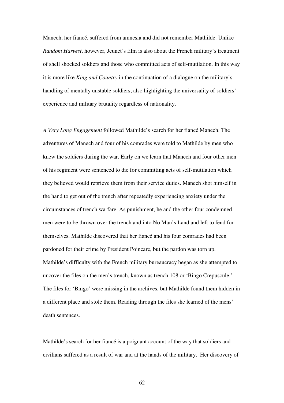Manech, her fiancé, suffered from amnesia and did not remember Mathilde. Unlike *Random Harvest*, however, Jeunet's film is also about the French military's treatment of shell shocked soldiers and those who committed acts of self-mutilation. In this way it is more like *King and Country* in the continuation of a dialogue on the military's handling of mentally unstable soldiers, also highlighting the universality of soldiers' experience and military brutality regardless of nationality.

*A Very Long Engagement* followed Mathilde's search for her fiancé Manech. The adventures of Manech and four of his comrades were told to Mathilde by men who knew the soldiers during the war. Early on we learn that Manech and four other men of his regiment were sentenced to die for committing acts of self-mutilation which they believed would reprieve them from their service duties. Manech shot himself in the hand to get out of the trench after repeatedly experiencing anxiety under the circumstances of trench warfare. As punishment, he and the other four condemned men were to be thrown over the trench and into No Man's Land and left to fend for themselves. Mathilde discovered that her fiancé and his four comrades had been pardoned for their crime by President Poincare, but the pardon was torn up. Mathilde's difficulty with the French military bureaucracy began as she attempted to uncover the files on the men's trench, known as trench 108 or 'Bingo Crepuscule.' The files for 'Bingo' were missing in the archives, but Mathilde found them hidden in a different place and stole them. Reading through the files she learned of the mens' death sentences.

Mathilde's search for her fiancé is a poignant account of the way that soldiers and civilians suffered as a result of war and at the hands of the military. Her discovery of

62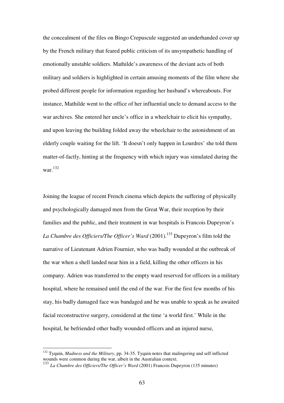the concealment of the files on Bingo Crepuscule suggested an underhanded cover up by the French military that feared public criticism of its unsympathetic handling of emotionally unstable soldiers. Mathilde's awareness of the deviant acts of both military and soldiers is highlighted in certain amusing moments of the film where she probed different people for information regarding her husband's whereabouts. For instance, Mathilde went to the office of her influential uncle to demand access to the war archives. She entered her uncle's office in a wheelchair to elicit his sympathy, and upon leaving the building folded away the wheelchair to the astonishment of an elderly couple waiting for the lift. 'It doesn't only happen in Lourdres' she told them matter-of-factly, hinting at the frequency with which injury was simulated during the war. 132

Joining the league of recent French cinema which depicts the suffering of physically and psychologically damaged men from the Great War, their reception by their families and the public, and their treatment in war hospitals is Francois Dupeyron's La Chambre des Officiers/The Officer's Ward (2001).<sup>133</sup> Dupeyron's film told the narrative of Lieutenant Adrien Fournier, who was badly wounded at the outbreak of the war when a shell landed near him in a field, killing the other officers in his company. Adrien was transferred to the empty ward reserved for officers in a military hospital, where he remained until the end of the war. For the first few months of his stay, his badly damaged face was bandaged and he was unable to speak as he awaited facial reconstructive surgery, considered at the time 'a world first.' While in the hospital, he befriended other badly wounded officers and an injured nurse,

<sup>132</sup> Tyquin, *Madness and the Military*, pp. 34-35. Tyquin notes that malingering and self inflicted wounds were common during the war, albeit in the Australian context.

<sup>133</sup> *La Chambre des Officiers/The Officer's Ward* (2001) Francois Dupeyron (135 minutes)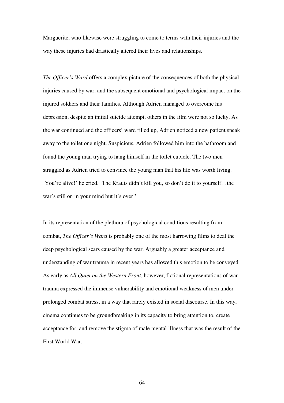Marguerite, who likewise were struggling to come to terms with their injuries and the way these injuries had drastically altered their lives and relationships.

*The Officer's Ward* offers a complex picture of the consequences of both the physical injuries caused by war, and the subsequent emotional and psychological impact on the injured soldiers and their families. Although Adrien managed to overcome his depression, despite an initial suicide attempt, others in the film were not so lucky. As the war continued and the officers' ward filled up, Adrien noticed a new patient sneak away to the toilet one night. Suspicious, Adrien followed him into the bathroom and found the young man trying to hang himself in the toilet cubicle. The two men struggled as Adrien tried to convince the young man that his life was worth living. 'You're alive!' he cried. 'The Krauts didn't kill you, so don't do it to yourself…the war's still on in your mind but it's over!'

In its representation of the plethora of psychological conditions resulting from combat, *The Officer's Ward* is probably one of the most harrowing films to deal the deep psychological scars caused by the war. Arguably a greater acceptance and understanding of war trauma in recent years has allowed this emotion to be conveyed. As early as *All Quiet on the Western Front*, however, fictional representations of war trauma expressed the immense vulnerability and emotional weakness of men under prolonged combat stress, in a way that rarely existed in social discourse. In this way, cinema continues to be groundbreaking in its capacity to bring attention to, create acceptance for, and remove the stigma of male mental illness that was the result of the First World War.

64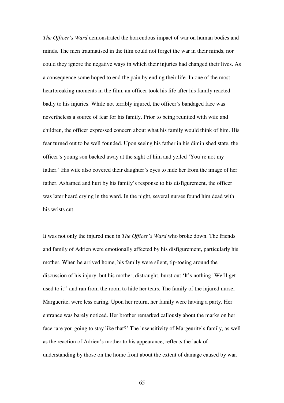*The Officer's Ward* demonstrated the horrendous impact of war on human bodies and minds. The men traumatised in the film could not forget the war in their minds, nor could they ignore the negative ways in which their injuries had changed their lives. As a consequence some hoped to end the pain by ending their life. In one of the most heartbreaking moments in the film, an officer took his life after his family reacted badly to his injuries. While not terribly injured, the officer's bandaged face was nevertheless a source of fear for his family. Prior to being reunited with wife and children, the officer expressed concern about what his family would think of him. His fear turned out to be well founded. Upon seeing his father in his diminished state, the officer's young son backed away at the sight of him and yelled 'You're not my father.' His wife also covered their daughter's eyes to hide her from the image of her father. Ashamed and hurt by his family's response to his disfigurement, the officer was later heard crying in the ward. In the night, several nurses found him dead with his wrists cut.

It was not only the injured men in *The Officer's Ward* who broke down. The friends and family of Adrien were emotionally affected by his disfigurement, particularly his mother. When he arrived home, his family were silent, tip-toeing around the discussion of his injury, but his mother, distraught, burst out 'It's nothing! We'll get used to it!' and ran from the room to hide her tears. The family of the injured nurse, Marguerite, were less caring. Upon her return, her family were having a party. Her entrance was barely noticed. Her brother remarked callously about the marks on her face 'are you going to stay like that?' The insensitivity of Margeurite's family, as well as the reaction of Adrien's mother to his appearance, reflects the lack of understanding by those on the home front about the extent of damage caused by war.

65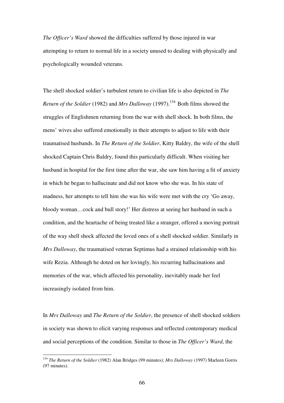*The Officer's Ward* showed the difficulties suffered by those injured in war attempting to return to normal life in a society unused to dealing with physically and psychologically wounded veterans.

The shell shocked soldier's turbulent return to civilian life is also depicted in *The Return of the Soldier* (1982) and *Mrs Dalloway* (1997).<sup>134</sup> Both films showed the struggles of Englishmen returning from the war with shell shock. In both films, the mens' wives also suffered emotionally in their attempts to adjust to life with their traumatised husbands. In *The Return of the Soldier*, Kitty Baldry, the wife of the shell shocked Captain Chris Baldry, found this particularly difficult. When visiting her husband in hospital for the first time after the war, she saw him having a fit of anxiety in which he began to hallucinate and did not know who she was. In his state of madness, her attempts to tell him she was his wife were met with the cry 'Go away, bloody woman…cock and bull story!' Her distress at seeing her husband in such a condition, and the heartache of being treated like a stranger, offered a moving portrait of the way shell shock affected the loved ones of a shell shocked soldier. Similarly in *Mrs Dalloway*, the traumatised veteran Septimus had a strained relationship with his wife Rezia. Although he doted on her lovingly, his recurring hallucinations and memories of the war, which affected his personality, inevitably made her feel increasingly isolated from him.

In *Mrs Dalloway* and *The Return of the Soldier*, the presence of shell shocked soldiers in society was shown to elicit varying responses and reflected contemporary medical and social perceptions of the condition. Similar to those in *The Officer's Ward*, the

<sup>134</sup> *The Return of the Soldier* (1982) Alan Bridges (99 minutes); *Mrs Dalloway* (1997) Marleen Gorris (97 minutes).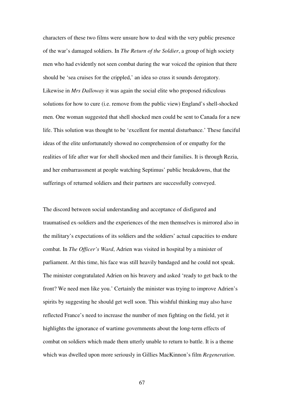characters of these two films were unsure how to deal with the very public presence of the war's damaged soldiers. In *The Return of the Soldier*, a group of high society men who had evidently not seen combat during the war voiced the opinion that there should be 'sea cruises for the crippled,' an idea so crass it sounds derogatory. Likewise in *Mrs Dalloway* it was again the social elite who proposed ridiculous solutions for how to cure (i.e. remove from the public view) England's shell-shocked men. One woman suggested that shell shocked men could be sent to Canada for a new life. This solution was thought to be 'excellent for mental disturbance.' These fanciful ideas of the elite unfortunately showed no comprehension of or empathy for the realities of life after war for shell shocked men and their families. It is through Rezia, and her embarrassment at people watching Septimus' public breakdowns, that the sufferings of returned soldiers and their partners are successfully conveyed.

The discord between social understanding and acceptance of disfigured and traumatised ex-soldiers and the experiences of the men themselves is mirrored also in the military's expectations of its soldiers and the soldiers' actual capacities to endure combat. In *The Officer's Ward*, Adrien was visited in hospital by a minister of parliament. At this time, his face was still heavily bandaged and he could not speak. The minister congratulated Adrien on his bravery and asked 'ready to get back to the front? We need men like you.' Certainly the minister was trying to improve Adrien's spirits by suggesting he should get well soon. This wishful thinking may also have reflected France's need to increase the number of men fighting on the field, yet it highlights the ignorance of wartime governments about the long-term effects of combat on soldiers which made them utterly unable to return to battle. It is a theme which was dwelled upon more seriously in Gillies MacKinnon's film *Regeneration*.

67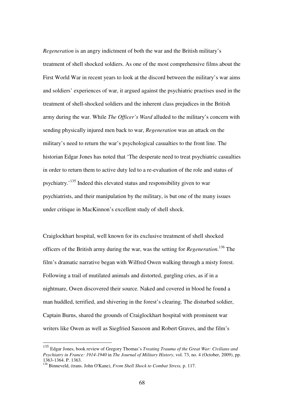*Regeneration* is an angry indictment of both the war and the British military's treatment of shell shocked soldiers. As one of the most comprehensive films about the First World War in recent years to look at the discord between the military's war aims and soldiers' experiences of war, it argued against the psychiatric practises used in the treatment of shell-shocked soldiers and the inherent class prejudices in the British army during the war. While *The Officer's Ward* alluded to the military's concern with sending physically injured men back to war, *Regeneration* was an attack on the military's need to return the war's psychological casualties to the front line. The historian Edgar Jones has noted that 'The desperate need to treat psychiatric casualties in order to return them to active duty led to a re-evaluation of the role and status of psychiatry.'<sup>135</sup> Indeed this elevated status and responsibility given to war psychiatrists, and their manipulation by the military, is but one of the many issues under critique in MacKinnon's excellent study of shell shock.

Craiglockhart hospital, well known for its exclusive treatment of shell shocked officers of the British army during the war, was the setting for *Regeneration*. <sup>136</sup> The film's dramatic narrative began with Wilfred Owen walking through a misty forest. Following a trail of mutilated animals and distorted, gurgling cries, as if in a nightmare, Owen discovered their source. Naked and covered in blood he found a man huddled, terrified, and shivering in the forest's clearing. The disturbed soldier, Captain Burns, shared the grounds of Craiglockhart hospital with prominent war writers like Owen as well as Siegfried Sassoon and Robert Graves, and the film's

<sup>135</sup> Edgar Jones, book review of Gregory Thomas's *Treating Trauma of the Great War: Civilians and Psychiatry in France: 1914-1940* in *The Journal of Military History*, vol. 73, no. 4 (October, 2009), pp. 1363-1364. P. 1363.

<sup>136</sup> Binneveld, (trans. John O'Kane), *From Shell Shock to Combat Stress,* p. 117.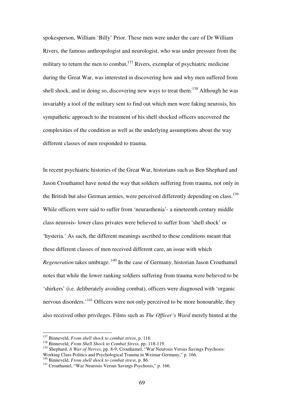spokesperson, William 'Billy' Prior. These men were under the care of Dr William Rivers, the famous anthropologist and neurologist, who was under pressure from the military to return the men to combat.<sup>137</sup> Rivers, exemplar of psychiatric medicine during the Great War, was interested in discovering how and why men suffered from shell shock, and in doing so, discovering new ways to treat them.<sup>138</sup> Although he was invariably a tool of the military sent to find out which men were faking neurosis, his sympathetic approach to the treatment of his shell shocked officers uncovered the complexities of the condition as well as the underlying assumptions about the way different classes of men responded to trauma.

In recent psychiatric histories of the Great War, historians such as Ben Shephard and Jason Crouthamel have noted the way that soldiers suffering from trauma, not only in the British but also German armies, were perceived differently depending on class.<sup>139</sup> While officers were said to suffer from 'neurasthenia'- a nineteenth century middle class neurosis- lower class privates were believed to suffer from 'shell shock' or 'hysteria.' As such, the different meanings ascribed to these conditions meant that these different classes of men received different care, an issue with which *Regeneration* takes umbrage.<sup>140</sup> In the case of Germany, historian Jason Crouthamel notes that while the lower ranking soldiers suffering from trauma were believed to be 'shirkers' (i.e. deliberately avoiding combat), officers were diagnosed with 'organic nervous disorders.<sup>'141</sup> Officers were not only perceived to be more honourable, they also received other privileges. Films such as *The Officer's Ward* merely hinted at the

<sup>137</sup> Binneveld, *From shell shock to combat stress*, p. 116.

<sup>138</sup> Binneveld, *From Shell Shock to Combat Stress,* pp. 118-119.

<sup>139</sup> Shephard, *A War of Nerves*, pp. 8-9; Crouthamel, "War Neurosis Versus Savings Psychosis: Working Class Politics and Psychological Trauma in Weimar Germany," p. 166.

<sup>140</sup> Binneveld, *From shell shock to combat stress*, p. 86.

<sup>&</sup>lt;sup>141</sup> Crouthamel, "War Neurosis Versus Savings Psychosis," p. 166.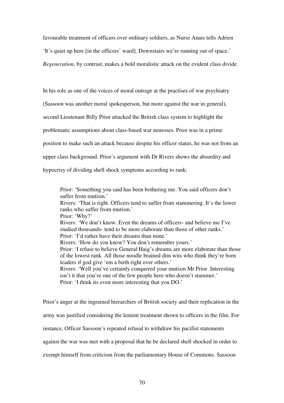favourable treatment of officers over ordinary soldiers, as Nurse Anais tells Adrien

'It's quiet up here [in the officers' ward]. Downstairs we're running out of space.'

*Regeneration*, by contrast, makes a bold moralistic attack on the evident class divide.

In his role as one of the voices of moral outrage at the practises of war psychiatry

(Sassoon was another moral spokesperson, but more against the war in general),

second Lieutenant Billy Prior attacked the British class system to highlight the

problematic assumptions about class-based war neuroses. Prior was in a prime

position to make such an attack because despite his officer status, he was not from an

upper class background. Prior's argument with Dr Rivers shows the absurdity and

hypocrisy of dividing shell shock symptoms according to rank:

Prior: 'Something you said has been bothering me. You said officers don't suffer from mutism.' Rivers: 'That is right. Officers tend to suffer from stammering. It's the lower ranks who suffer from mutism.' Prior: 'Why?' Rivers: 'We don't know. Even the dreams of officers- and believe me I've studied thousands- tend to be more elaborate than those of other ranks.' Prior: 'I'd rather have their dreams than mine.' Rivers: 'How do you know? You don't remember yours.' Prior: 'I refuse to believe General Haig's dreams are more elaborate than those of the lowest rank. All those noodle brained dim wits who think they're born leaders if god give 'em a birth right over others.' Rivers: 'Well you've certainly conquered your mutism Mr Prior. Interesting isn't it that you're one of the few people here who doesn't stammer.' Prior: 'I think its even more interesting that you DO.'

Prior's anger at the ingrained hierarchies of British society and their replication in the army was justified considering the lenient treatment shown to officers in the film. For instance, Officer Sassoon's repeated refusal to withdraw his pacifist statements against the war was met with a proposal that he be declared shell shocked in order to exempt himself from criticism from the parliamentary House of Commons. Sassoon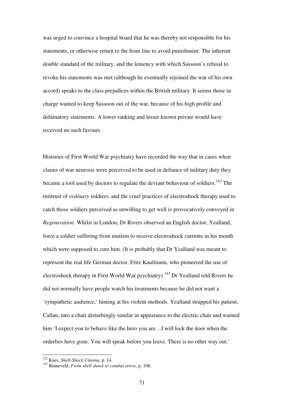was urged to convince a hospital board that he was thereby not responsible for his statements, or otherwise return to the front line to avoid punishment. The inherent double standard of the military, and the leniency with which Sassoon's refusal to revoke his statements was met (although he eventually rejoined the war of his own accord) speaks to the class prejudices within the British military. It seems those in charge wanted to keep Sassoon out of the war, because of his high profile and defamatory statements. A lower ranking and lesser known private would have received no such favours.

Histories of First World War psychiatry have recorded the way that in cases when claims of war neurosis were perceived to be used in defiance of military duty they became a tool used by doctors to regulate the deviant behaviour of soldiers.<sup>142</sup> The mistrust of *ordinary* soldiers, and the cruel practices of electroshock therapy used to catch those soldiers perceived as unwilling to get well is provocatively conveyed in *Regeneration.* Whilst in London, Dr Rivers observed an English doctor, Yealland, force a soldier suffering from mutism to receive electroshock currents in his mouth which were supposed to cure him. (It is probably that Dr Yealland was meant to represent the real life German doctor, Fritz Kaufmann, who pioneered the use of electroshock therapy in First World War psychiatry).<sup>143</sup> Dr Yealland told Rivers he did not normally have people watch his treatments because he did not want a 'sympathetic audience,' hinting at his violent methods. Yealland strapped his patient, Callan, into a chair disturbingly similar in appearance to the electric chair and warned him 'I expect you to behave like the hero you are...I will lock the door when the orderlies have gone. You will speak before you leave. There is no other way out.'

<sup>142</sup> Kaes, *Shell-Shock Cinema*, p. 14.

<sup>143</sup> Binneveld, *From shell shock to combat stress*, p. 108.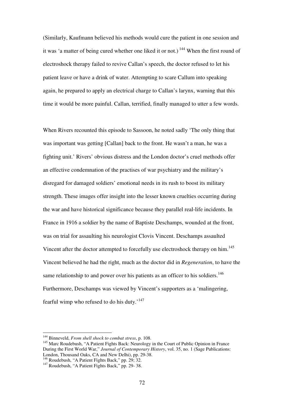(Similarly, Kaufmann believed his methods would cure the patient in one session and it was 'a matter of being cured whether one liked it or not.)<sup>144</sup> When the first round of electroshock therapy failed to revive Callan's speech, the doctor refused to let his patient leave or have a drink of water. Attempting to scare Callum into speaking again, he prepared to apply an electrical charge to Callan's larynx, warning that this time it would be more painful. Callan, terrified, finally managed to utter a few words.

When Rivers recounted this episode to Sassoon, he noted sadly 'The only thing that was important was getting [Callan] back to the front. He wasn't a man, he was a fighting unit.' Rivers' obvious distress and the London doctor's cruel methods offer an effective condemnation of the practises of war psychiatry and the military's disregard for damaged soldiers' emotional needs in its rush to boost its military strength. These images offer insight into the lesser known cruelties occurring during the war and have historical significance because they parallel real-life incidents. In France in 1916 a soldier by the name of Baptiste Deschamps, wounded at the front, was on trial for assaulting his neurologist Clovis Vincent. Deschamps assaulted Vincent after the doctor attempted to forcefully use electroshock therapy on him.<sup>145</sup> Vincent believed he had the right, much as the doctor did in *Regeneration*, to have the same relationship to and power over his patients as an officer to his soldiers.<sup>146</sup> Furthermore, Deschamps was viewed by Vincent's supporters as a 'malingering, fearful wimp who refused to do his duty.'<sup>147</sup>

<sup>144</sup> Binneveld, *From shell shock to combat stress*, p. 108.

<sup>&</sup>lt;sup>145</sup> Marc Roudebush, "A Patient Fights Back: Neurology in the Court of Public Opinion in France During the First World War," *Journal of Contemporary History*, vol. 35, no. 1 (Sage Publications: London, Thousand Oaks, CA and New Delhi), pp. 29-38.

 $146$  Roudebush, "A Patient Fights Back," pp. 29; 32.

<sup>&</sup>lt;sup>147</sup> Roudebush, "A Patient Fights Back," pp. 29-38.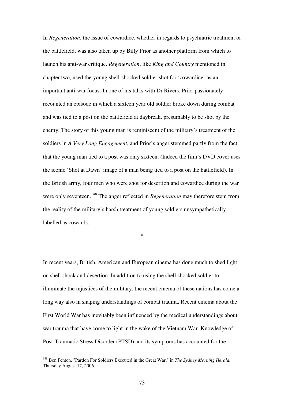In *Regeneration*, the issue of cowardice, whether in regards to psychiatric treatment or the battlefield, was also taken up by Billy Prior as another platform from which to launch his anti-war critique. *Regeneration*, like *King and Country* mentioned in chapter two, used the young shell-shocked soldier shot for 'cowardice' as an important anti-war focus. In one of his talks with Dr Rivers, Prior passionately recounted an episode in which a sixteen year old soldier broke down during combat and was tied to a post on the battlefield at daybreak, presumably to be shot by the enemy. The story of this young man is reminiscent of the military's treatment of the soldiers in *A Very Long Engagement*, and Prior's anger stemmed partly from the fact that the young man tied to a post was only sixteen. (Indeed the film's DVD cover uses the iconic 'Shot at Dawn' image of a man being tied to a post on the battlefield). In the British army, four men who were shot for desertion and cowardice during the war were only seventeen.<sup>148</sup> The anger reflected in *Regeneration* may therefore stem from the reality of the military's harsh treatment of young soldiers unsympathetically labelled as cowards.

**\*** 

In recent years, British, American and European cinema has done much to shed light on shell shock and desertion. In addition to using the shell shocked soldier to illuminate the injustices of the military, the recent cinema of these nations has come a long way also in shaping understandings of combat trauma**.** Recent cinema about the First World War has inevitably been influenced by the medical understandings about war trauma that have come to light in the wake of the Vietnam War. Knowledge of Post-Traumatic Stress Disorder (PTSD) and its symptoms has accounted for the

<sup>148</sup> Ben Fenton, "Pardon For Soldiers Executed in the Great War," in *The Sydney Morning Herald*, Thursday August 17, 2006.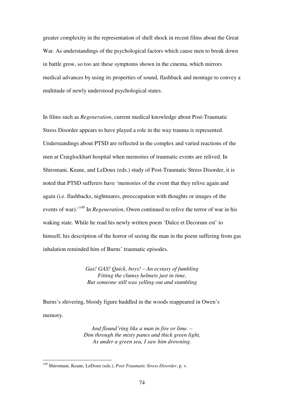greater complexity in the representation of shell shock in recent films about the Great War. As understandings of the psychological factors which cause men to break down in battle grow, so too are these symptoms shown in the cinema, which mirrors medical advances by using its properties of sound, flashback and montage to convey a multitude of newly understood psychological states.

In films such as *Regeneration*, current medical knowledge about Post-Traumatic Stress Disorder appears to have played a role in the way trauma is represented. Understandings about PTSD are reflected in the complex and varied reactions of the men at Craiglockhart hospital when memories of traumatic events are relived. In Shiromani, Keane, and LeDoux (eds.) study of Post-Traumatic Stress Disorder, it is noted that PTSD sufferers have 'memories of the event that they relive again and again (i.e. flashbacks, nightmares, preoccupation with thoughts or images of the events of war).'<sup>149</sup> In *Regeneration*, Owen continued to relive the terror of war in his waking state. While he read his newly written poem 'Dulce et Decorum est' to himself, his description of the horror of seeing the man in the poem suffering from gas inhalation reminded him of Burns' traumatic episodes.

> *Gas! GAS! Quick, boys! – An ecstasy of fumbling Fitting the clumsy helmets just in time, But someone still was yelling out and stumbling*

Burns's shivering, bloody figure huddled in the woods reappeared in Owen's memory.

> *And flound'ring like a man in fire or lime. – Dim through the misty panes and thick green light, As under a green sea, I saw him drowning.*

<sup>149</sup> Shiromani, Keane, LeDoux (eds.), *Post-Traumatic Stress Disorder*, p. v.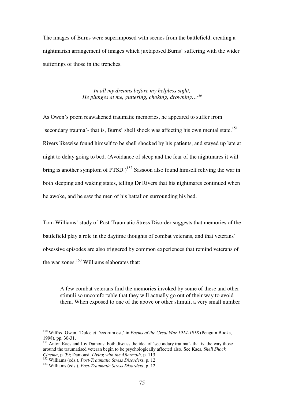The images of Burns were superimposed with scenes from the battlefield, creating a nightmarish arrangement of images which juxtaposed Burns' suffering with the wider sufferings of those in the trenches.

#### *In all my dreams before my helpless sight, He plunges at me, guttering, choking, drowning…<sup>150</sup>*

As Owen's poem reawakened traumatic memories, he appeared to suffer from 'secondary trauma'- that is, Burns' shell shock was affecting his own mental state.<sup>151</sup> Rivers likewise found himself to be shell shocked by his patients, and stayed up late at night to delay going to bed. (Avoidance of sleep and the fear of the nightmares it will bring is another symptom of  $PTSD$ .)<sup>152</sup> Sassoon also found himself reliving the war in both sleeping and waking states, telling Dr Rivers that his nightmares continued when he awoke, and he saw the men of his battalion surrounding his bed.

Tom Williams' study of Post-Traumatic Stress Disorder suggests that memories of the battlefield play a role in the daytime thoughts of combat veterans, and that veterans' obsessive episodes are also triggered by common experiences that remind veterans of the war zones.<sup>153</sup> Williams elaborates that:

A few combat veterans find the memories invoked by some of these and other stimuli so uncomfortable that they will actually go out of their way to avoid them. When exposed to one of the above or other stimuli, a very small number

<sup>150</sup> Wilfred Owen, 'Dulce et Decorum est,' in *Poems of the Great War 1914-1918* (Penguin Books, 1998), pp. 30-31.

<sup>&</sup>lt;sup>151</sup> Anton Kaes and Joy Damousi both discuss the idea of 'secondary trauma'- that is, the way those around the traumatised veteran begin to be psychologically affected also. See Kaes, *Shell Shock Cinema*, p. 39; Damousi, *Living with the Aftermath,* p. 113.

<sup>152</sup> Williams (eds.), *Post-Traumatic Stress Disorders*, p. 12.

<sup>153</sup> Williams (eds.), *Post-Traumatic Stress Disorders*, p. 12.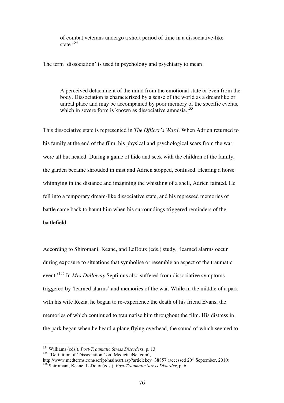of combat veterans undergo a short period of time in a dissociative-like state.<sup>154</sup>

The term 'dissociation' is used in psychology and psychiatry to mean

A perceived detachment of the mind from the emotional state or even from the body. Dissociation is characterized by a sense of the world as a dreamlike or unreal place and may be accompanied by poor memory of the specific events, which in severe form is known as dissociative amnesia.<sup>155</sup>

This dissociative state is represented in *The Officer's Ward*. When Adrien returned to his family at the end of the film, his physical and psychological scars from the war were all but healed. During a game of hide and seek with the children of the family, the garden became shrouded in mist and Adrien stopped, confused. Hearing a horse whinnying in the distance and imagining the whistling of a shell, Adrien fainted. He fell into a temporary dream-like dissociative state, and his repressed memories of battle came back to haunt him when his surroundings triggered reminders of the battlefield.

According to Shiromani, Keane, and LeDoux (eds.) study, 'learned alarms occur during exposure to situations that symbolise or resemble an aspect of the traumatic event.'<sup>156</sup> In *Mrs Dalloway* Septimus also suffered from dissociative symptoms triggered by 'learned alarms' and memories of the war. While in the middle of a park with his wife Rezia, he began to re-experience the death of his friend Evans, the memories of which continued to traumatise him throughout the film. His distress in the park began when he heard a plane flying overhead, the sound of which seemed to

<sup>155</sup> "Definition of 'Dissociation,' on 'MedicineNet.com',

<sup>154</sup> Williams (eds.), *Post-Traumatic Stress Disorders*, p. 13.

http://www.medterms.com/script/main/art.asp?articlekey=38857 (accessed 20<sup>th</sup> September, 2010) <sup>156</sup> Shiromani, Keane, LeDoux (eds.), *Post-Traumatic Stress Disorder*, p. 6.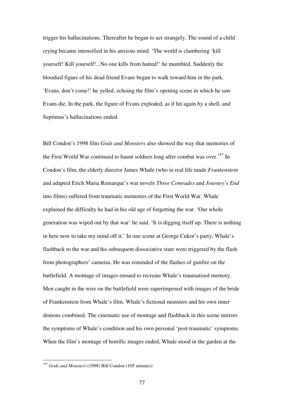trigger his hallucinations. Thereafter he began to act strangely. The sound of a child crying became intensified in his anxious mind. 'The world is clambering 'kill yourself! Kill yourself!...No one kills from hatred!' he mumbled. Suddenly the bloodied figure of his dead friend Evans began to walk toward him in the park. 'Evans, don't come!' he yelled, echoing the film's opening scene in which he saw Evans die. In the park, the figure of Evans exploded, as if hit again by a shell, and Septimus's hallucinations ended.

Bill Condon's 1998 film *Gods and Monsters* also showed the way that memories of the First World War continued to haunt soldiers long after combat was over.<sup>157</sup> In Condon's film, the elderly director James Whale (who in real life made *Frankenstein*  and adapted Erich Maria Remarque's war novels *Three Comrades* and *Journey's End* into films) suffered from traumatic memories of the First World War. Whale explained the difficulty he had in his old age of forgetting the war. 'Our whole generation was wiped out by that war' he said. 'It is digging itself up. There is nothing in here now to take my mind off it.' In one scene at George Cukor's party, Whale's flashback to the war and his subsequent dissociative state were triggered by the flash from photographers' cameras. He was reminded of the flashes of gunfire on the battlefield. A montage of images ensued to recreate Whale's traumatised memory. Men caught in the wire on the battlefield were superimposed with images of the bride of Frankenstein from Whale's film. Whale's fictional monsters and his own inner demons combined. The cinematic use of montage and flashback in this scene mirrors the symptoms of Whale's condition and his own personal 'post-traumatic' symptoms. When the film's montage of horrific images ended, Whale stood in the garden at the

<sup>157</sup> *Gods and Monsters* (1998) Bill Condon (105 minutes)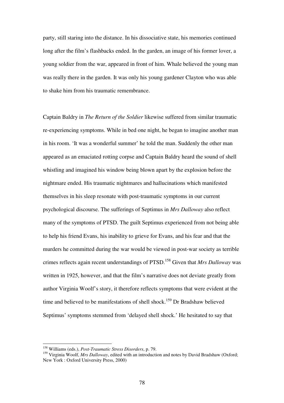party, still staring into the distance. In his dissociative state, his memories continued long after the film's flashbacks ended. In the garden, an image of his former lover, a young soldier from the war, appeared in front of him. Whale believed the young man was really there in the garden. It was only his young gardener Clayton who was able to shake him from his traumatic remembrance.

Captain Baldry in *The Return of the Soldier* likewise suffered from similar traumatic re-experiencing symptoms. While in bed one night, he began to imagine another man in his room. 'It was a wonderful summer' he told the man. Suddenly the other man appeared as an emaciated rotting corpse and Captain Baldry heard the sound of shell whistling and imagined his window being blown apart by the explosion before the nightmare ended. His traumatic nightmares and hallucinations which manifested themselves in his sleep resonate with post-traumatic symptoms in our current psychological discourse. The sufferings of Septimus in *Mrs Dalloway* also reflect many of the symptoms of PTSD. The guilt Septimus experienced from not being able to help his friend Evans, his inability to grieve for Evans, and his fear and that the murders he committed during the war would be viewed in post-war society as terrible crimes reflects again recent understandings of PTSD. <sup>158</sup> Given that *Mrs Dalloway* was written in 1925, however, and that the film's narrative does not deviate greatly from author Virginia Woolf's story, it therefore reflects symptoms that were evident at the time and believed to be manifestations of shell shock.<sup>159</sup> Dr Bradshaw believed Septimus' symptoms stemmed from 'delayed shell shock.' He hesitated to say that

<sup>158</sup> Williams (eds.), *Post-Traumatic Stress Disorders*, p. 79.

<sup>&</sup>lt;sup>159</sup> Virginia Woolf, *Mrs Dalloway*, edited with an introduction and notes by David Bradshaw (Oxford; New York : Oxford University Press, 2000)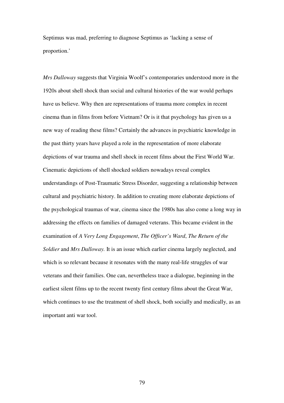Septimus was mad, preferring to diagnose Septimus as 'lacking a sense of proportion.'

*Mrs Dalloway* suggests that Virginia Woolf's contemporaries understood more in the 1920s about shell shock than social and cultural histories of the war would perhaps have us believe. Why then are representations of trauma more complex in recent cinema than in films from before Vietnam? Or is it that psychology has given us a new way of reading these films? Certainly the advances in psychiatric knowledge in the past thirty years have played a role in the representation of more elaborate depictions of war trauma and shell shock in recent films about the First World War. Cinematic depictions of shell shocked soldiers nowadays reveal complex understandings of Post-Traumatic Stress Disorder, suggesting a relationship between cultural and psychiatric history. In addition to creating more elaborate depictions of the psychological traumas of war, cinema since the 1980s has also come a long way in addressing the effects on families of damaged veterans. This became evident in the examination of *A Very Long Engagement*, *The Officer's Ward*, *The Return of the Soldier* and *Mrs Dalloway.* It is an issue which earlier cinema largely neglected, and which is so relevant because it resonates with the many real-life struggles of war veterans and their families. One can, nevertheless trace a dialogue, beginning in the earliest silent films up to the recent twenty first century films about the Great War, which continues to use the treatment of shell shock, both socially and medically, as an important anti war tool.

79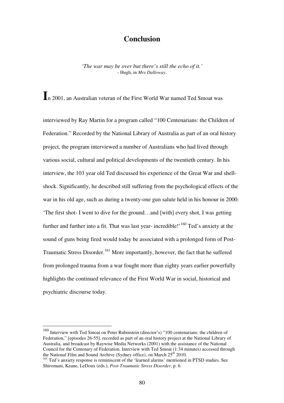## **Conclusion**

*'The war may be over but there's still the echo of it.'*  - Hugh, in *Mrs Dalloway*.

**I**n 2001, an Australian veteran of the First World War named Ted Smoat was

interviewed by Ray Martin for a program called "100 Centenarians: the Children of Federation." Recorded by the National Library of Australia as part of an oral history project, the program interviewed a number of Australians who had lived through various social, cultural and political developments of the twentieth century. In his interview, the 103 year old Ted discussed his experience of the Great War and shellshock. Significantly, he described still suffering from the psychological effects of the war in his old age, such as during a twenty-one gun salute held in his honour in 2000: 'The first shot- I went to dive for the ground…and [with] every shot, I was getting further and further into a fit. That was last year- incredible!<sup> $160$ </sup> Ted's anxiety at the sound of guns being fired would today be associated with a prolonged form of Post-Traumatic Stress Disorder.<sup>161</sup> More importantly, however, the fact that he suffered from prolonged trauma from a war fought more than eighty years earlier powerfully highlights the continued relevance of the First World War in social, historical and psychiatric discourse today.

<sup>160</sup> Interview with Ted Smoat on Peter Rubinstein (director's) "100 centenarians: the children of Federation," [episodes 26-55], recorded as part of an oral history project at the National Library of Australia, and broadcast by Raywise Media Networks (2001) with the assistance of the National Council for the Centenary of Federation. Interview with Ted Smoat (1:34 minutes) accessed through the National Film and Sound Archive (Sydney office), on March  $25<sup>th</sup> 2010$ .

<sup>&</sup>lt;sup>161</sup> Ted's anxiety response is reminiscent of the 'learned alarms' mentioned in PTSD studies. See Shiromani, Keane, LeDoux (eds.), *Post-Traumatic Stress Disorder*, p. 6.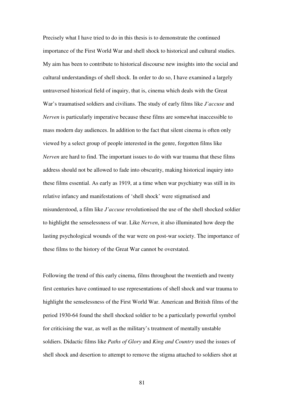Precisely what I have tried to do in this thesis is to demonstrate the continued importance of the First World War and shell shock to historical and cultural studies. My aim has been to contribute to historical discourse new insights into the social and cultural understandings of shell shock. In order to do so, I have examined a largely untraversed historical field of inquiry, that is, cinema which deals with the Great War's traumatised soldiers and civilians. The study of early films like *J'accuse* and *Nerven* is particularly imperative because these films are somewhat inaccessible to mass modern day audiences. In addition to the fact that silent cinema is often only viewed by a select group of people interested in the genre, forgotten films like *Nerven* are hard to find. The important issues to do with war trauma that these films address should not be allowed to fade into obscurity, making historical inquiry into these films essential. As early as 1919, at a time when war psychiatry was still in its relative infancy and manifestations of 'shell shock' were stigmatised and misunderstood, a film like *J'accuse* revolutionised the use of the shell shocked soldier to highlight the senselessness of war. Like *Nerven*, it also illuminated how deep the lasting psychological wounds of the war were on post-war society. The importance of these films to the history of the Great War cannot be overstated.

Following the trend of this early cinema, films throughout the twentieth and twenty first centuries have continued to use representations of shell shock and war trauma to highlight the senselessness of the First World War. American and British films of the period 1930-64 found the shell shocked soldier to be a particularly powerful symbol for criticising the war, as well as the military's treatment of mentally unstable soldiers. Didactic films like *Paths of Glory* and *King and Country* used the issues of shell shock and desertion to attempt to remove the stigma attached to soldiers shot at

81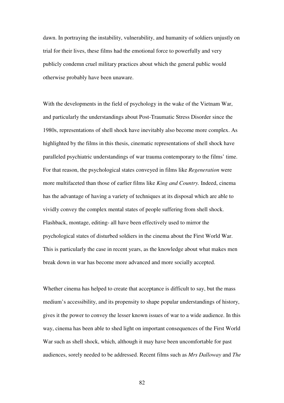dawn. In portraying the instability, vulnerability, and humanity of soldiers unjustly on trial for their lives, these films had the emotional force to powerfully and very publicly condemn cruel military practices about which the general public would otherwise probably have been unaware.

With the developments in the field of psychology in the wake of the Vietnam War, and particularly the understandings about Post-Traumatic Stress Disorder since the 1980s, representations of shell shock have inevitably also become more complex. As highlighted by the films in this thesis, cinematic representations of shell shock have paralleled psychiatric understandings of war trauma contemporary to the films' time. For that reason, the psychological states conveyed in films like *Regeneration* were more multifaceted than those of earlier films like *King and Country.* Indeed, cinema has the advantage of having a variety of techniques at its disposal which are able to vividly convey the complex mental states of people suffering from shell shock. Flashback, montage, editing- all have been effectively used to mirror the psychological states of disturbed soldiers in the cinema about the First World War. This is particularly the case in recent years, as the knowledge about what makes men break down in war has become more advanced and more socially accepted.

Whether cinema has helped to create that acceptance is difficult to say, but the mass medium's accessibility, and its propensity to shape popular understandings of history, gives it the power to convey the lesser known issues of war to a wide audience. In this way, cinema has been able to shed light on important consequences of the First World War such as shell shock, which, although it may have been uncomfortable for past audiences, sorely needed to be addressed. Recent films such as *Mrs Dalloway* and *The* 

82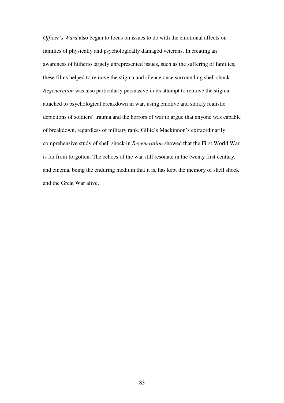*Officer's Ward* also began to focus on issues to do with the emotional affects on families of physically and psychologically damaged veterans. In creating an awareness of hitherto largely unrepresented issues, such as the suffering of families, these films helped to remove the stigma and silence once surrounding shell shock. *Regeneration* was also particularly persuasive in its attempt to remove the stigma attached to psychological breakdown in war, using emotive and starkly realistic depictions of soldiers' trauma and the horrors of war to argue that anyone was capable of breakdown, regardless of military rank. Gillie's Mackinnon's extraordinarily comprehensive study of shell shock in *Regeneration* showed that the First World War is far from forgotten. The echoes of the war still resonate in the twenty first century, and cinema, being the enduring medium that it is, has kept the memory of shell shock and the Great War alive.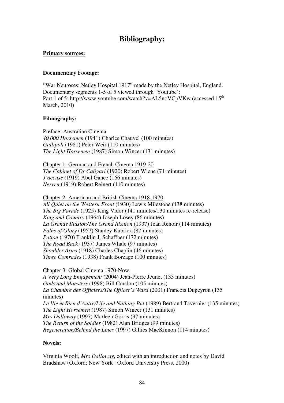# **Bibliography:**

## **Primary sources:**

## **Documentary Footage:**

"War Neuroses: Netley Hospital 1917" made by the Netley Hospital, England. Documentary segments 1-5 of 5 viewed through 'Youtube': Part 1 of 5: http://www.youtube.com/watch?v=AL5noVCpVKw (accessed 15<sup>th</sup>) March, 2010)

## **Filmography:**

Preface: Australian Cinema *40,000 Horsemen* (1941) Charles Chauvel (100 minutes) *Gallipoli* (1981) Peter Weir (110 minutes) *The Light Horsemen* (1987) Simon Wincer (131 minutes)

Chapter 1: German and French Cinema 1919-20 *The Cabinet of Dr Caligari* (1920) Robert Wiene (71 minutes) *J'accuse* (1919) Abel Gance (166 minutes) *Nerven* (1919) Robert Reinert (110 minutes)

Chapter 2: American and British Cinema 1918-1970 *All Quiet on the Western Front* (1930) Lewis Milestone (138 minutes) *The Big Parade* (1925) King Vidor (141 minutes/130 minutes re-release) *King and Country* (1964) Joseph Losey (86 minutes) *La Grande Illusion/The Grand Illsuion* (1937) Jean Renoir (114 minutes) *Paths of Glory* (1957) Stanley Kubrick (87 minutes) *Patton* (1970) Franklin J. Schaffner (172 minutes**)**  *The Road Back* (1937) James Whale (97 minutes) *Shoulder Arms* (1918) Charles Chaplin (46 minutes) *Three Comrades* (1938) Frank Borzage (100 minutes)

Chapter 3: Global Cinema 1970-Now

*A Very Long Engagement* (2004) Jean-Pierre Jeunet (133 minutes) *Gods and Monsters* (1998) Bill Condon (105 minutes) *La Chambre des Officiers/The Officer's Ward* (2001) Francois Dupeyron (135 minutes) *La Vie et Rien d'Autre/Life and Nothing But* (1989) Bertrand Tavernier (135 minutes) *The Light Horsemen* (1987) Simon Wincer (131 minutes) *Mrs Dalloway* (1997) Marleen Gorris (97 minutes) *The Return of the Soldier* (1982) Alan Bridges (99 minutes) *Regeneration/Behind the Lines* (1997) Gillies MacKinnon (114 minutes)

#### **Novels:**

Virginia Woolf, *Mrs Dalloway*, edited with an introduction and notes by David Bradshaw (Oxford; New York : Oxford University Press, 2000)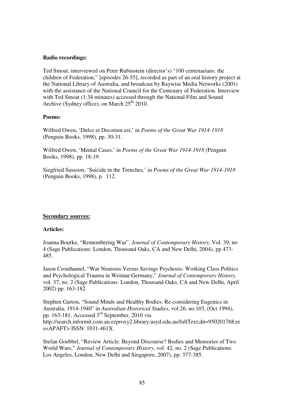#### **Radio recordings:**

Ted Smoat, interviewed on Peter Rubinstein (director's) "100 centenarians: the children of Federation," [episodes 26-55], recorded as part of an oral history project at the National Library of Australia, and broadcast by Raywise Media Networks (2001) with the assistance of the National Council for the Centenary of Federation. Interview with Ted Smoat (1:34 minutes) accessed through the National Film and Sound Archive (Sydney office), on March  $25<sup>th</sup> 2010$ .

#### **Poems:**

Wilfred Owen, 'Dulce et Decorum est,' in *Poems of the Great War 1914-1918*  (Penguin Books, 1998), pp. 30-31.

Wilfred Owen, 'Mental Cases,' in *Poems of the Great War 1914-1918* (Penguin Books, 1998), pp. 18-19.

Siegfried Sassoon, 'Suicide in the Trenches,' in *Poems of the Great War 1914-1918* (Penguin Books, 1998), p. 112.

#### **Secondary sources:**

#### **Articles:**

Joanna Bourke, "Remembering War", *Journal of Contemporary History,* Vol. 39, no 4 (Sage Publications: London, Thousand Oaks, CA and New Delhi, 2004), pp 473- 485.

Jason Crouthamel, "War Neurosis Versus Savings Psychosis: Working Class Politics and Psychological Trauma in Weimar Germany," *Journal of Contemporary History,*  vol. 37, no. 2 (Sage Publications: London, Thousand Oaks, CA and New Delhi, April 2002) pp. 163-182

Stephen Garton, "Sound Minds and Healthy Bodies: Re-considering Eugenics in Australia, 1914-1940" in *Australian Historical Studies*, vol.26, no.103, (Oct 1994), pp. 163-181. Accessed  $3<sup>rd</sup>$  September, 2010 via http://search.informit.com.au.ezproxy2.library.usyd.edu.au/fullText;dn=950201768;re  $s=APAFT$ > ISSN: 1031-461X.

Stefan Goebbel, "Review Article: Beyond Discourse? Bodies and Memories of Two World Wars," *Journal of Contemporary History*, vol. 42, no. 2 (Sage Publications: Los Angeles, London, New Delhi and Singapore, 2007), pp. 377-385.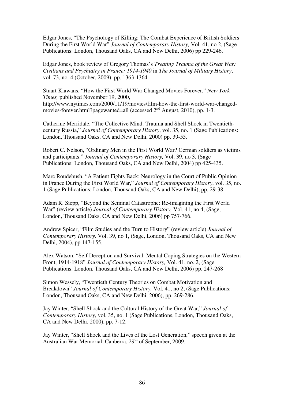Edgar Jones, "The Psychology of Killing: The Combat Experience of British Soldiers During the First World War" *Journal of Contemporary History,* Vol. 41, no 2, (Sage Publications: London, Thousand Oaks, CA and New Delhi, 2006) pp 229-246.

Edgar Jones, book review of Gregory Thomas's *Treating Trauma of the Great War: Civilians and Psychiatry in France: 1914-1940* in *The Journal of Military History*, vol. 73, no. 4 (October, 2009), pp. 1363-1364.

Stuart Klawans, "How the First World War Changed Movies Forever," *New York Times,* published November 19, 2000, http://www.nytimes.com/2000/11/19/movies/film-how-the-first-world-war-changedmovies-forever.html?pagewanted=all (accessed  $2<sup>nd</sup>$  August, 2010), pp. 1-3.

Catherine Merridale, "The Collective Mind: Trauma and Shell Shock in Twentiethcentury Russia," *Journal of Contemporary History*, vol. 35, no. 1 (Sage Publications: London, Thousand Oaks, CA and New Delhi, 2000) pp. 39-55.

Robert C. Nelson, "Ordinary Men in the First World War? German soldiers as victims and participants." *Journal of Contemporary History,* Vol. 39, no 3, (Sage Publications: London, Thousand Oaks, CA and New Delhi, 2004) pp 425-435.

Marc Roudebush, "A Patient Fights Back: Neurology in the Court of Public Opinion in France During the First World War," *Journal of Contemporary History*, vol. 35, no. 1 (Sage Publications: London, Thousand Oaks, CA and New Delhi), pp. 29-38.

Adam R. Siepp, "Beyond the Seminal Catastrophe: Re-imagining the First World War" (review article) *Journal of Contemporary History,* Vol. 41, no 4, (Sage, London, Thousand Oaks, CA and New Delhi, 2006) pp 757-766.

Andrew Spicer, "Film Studies and the Turn to History" (review article) *Journal of Contemporary History,* Vol. 39, no 1, (Sage, London, Thousand Oaks, CA and New Delhi, 2004), pp 147-155.

Alex Watson, "Self Deception and Survival: Mental Coping Strategies on the Western Front, 1914-1918" *Journal of Contemporary History,* Vol. 41, no. 2, (Sage Publications: London, Thousand Oaks, CA and New Delhi, 2006) pp. 247-268

Simon Wessely, "Twentieth Century Theories on Combat Motivation and Breakdown" *Journal of Contemporary History,* Vol. 41, no 2, (Sage Publications: London, Thousand Oaks, CA and New Delhi, 2006), pp. 269-286.

Jay Winter, "Shell Shock and the Cultural History of the Great War," *Journal of Contemporary History*, vol. 35, no. 1 (Sage Publications, London, Thousand Oaks, CA and New Delhi, 2000), pp. 7-12.

Jay Winter, "Shell Shock and the Lives of the Lost Generation," speech given at the Australian War Memorial, Canberra, 29<sup>th</sup> of September, 2009.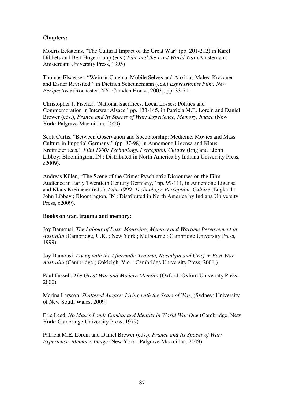## **Chapters:**

Modris Ecksteins, "The Cultural Impact of the Great War" (pp. 201-212) in Karel Dibbets and Bert Hogenkamp (eds.) *Film and the First World War* (Amsterdam: Amsterdam University Press, 1995)

Thomas Elsaesser, "Weimar Cinema, Mobile Selves and Anxious Males: Kracauer and Eisner Revisited," in Dietrich Scheunemann (eds.) *Expressionist Film: New Perspectives* (Rochester, NY: Camden House, 2003), pp. 33-71.

Christopher J. Fischer, 'National Sacrifices, Local Losses: Politics and Commemoration in Interwar Alsace,' pp. 133-145, in Patricia M.E. Lorcin and Daniel Brewer (eds.), *France and Its Spaces of War: Experience, Memory, Image* (New York: Palgrave Macmillan, 2009).

Scott Curtis, "Between Observation and Spectatorship: Medicine, Movies and Mass Culture in Imperial Germany," (pp. 87-98) in Annemone Ligensa and Klaus Kreimeier (eds.), *Film 1900: Technology, Perception, Culture* (England : John Libbey; Bloomington, IN : Distributed in North America by Indiana University Press, c2009).

Andreas Killen, "The Scene of the Crime: Pyschiatric Discourses on the Film Audience in Early Twentieth Century Germany," pp. 99-111, in Annemone Ligensa and Klaus Kreimeier (eds.), *Film 1900: Technology, Perception, Culture* (England : John Libbey ; Bloomington, IN : Distributed in North America by Indiana University Press, c2009).

#### **Books on war, trauma and memory:**

Joy Damousi, *The Labour of Loss: Mourning, Memory and Wartime Bereavement in Australia* (Cambridge, U.K. ; New York ; Melbourne : Cambridge University Press, 1999)

Joy Damousi, *Living with the Aftermath: Trauma, Nostalgia and Grief in Post-War Australia* (Cambridge ; Oakleigh, Vic. : Cambridge University Press, 2001.)

Paul Fussell, *The Great War and Modern Memory* (Oxford: Oxford University Press, 2000)

Marina Larsson, *Shattered Anzacs: Living with the Scars of War*, (Sydney: University of New South Wales, 2009)

Eric Leed, *No Man's Land: Combat and Identity in World War One* (Cambridge; New York: Cambridge University Press, 1979)

Patricia M.E. Lorcin and Daniel Brewer (eds.), *France and Its Spaces of War: Experience, Memory, Image* (New York : Palgrave Macmillan, 2009)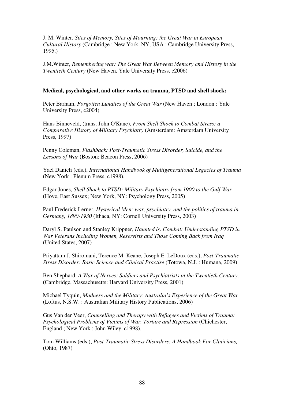J. M. Winter, *Sites of Memory, Sites of Mourning: the Great War in European Cultural History* (Cambridge ; New York, NY, USA : Cambridge University Press, 1995.)

J.M.Winter, *Remembering war: The Great War Between Memory and History in the Twentieth Century* (New Haven, Yale University Press, c2006)

#### **Medical, psychological, and other works on trauma, PTSD and shell shock:**

Peter Barham, *Forgotten Lunatics of the Great War* (New Haven ; London : Yale University Press, c2004)

Hans Binneveld, (trans. John O'Kane), *From Shell Shock to Combat Stress: a Comparative History of Military Psychiatry* (Amsterdam: Amsterdam University Press, 1997)

Penny Coleman, *Flashback: Post-Traumatic Stress Disorder, Suicide, and the Lessons of War* (Boston: Beacon Press, 2006)

Yael Danieli (eds.), *International Handbook of Multigenerational Legacies of Trauma* (New York : Plenum Press, c1998).

Edgar Jones, *Shell Shock to PTSD: Military Psychiatry from 1900 to the Gulf War*  (Hove, East Sussex; New York, NY: Psychology Press, 2005)

Paul Frederick Lerner, *Hysterical Men: war, psychiatry, and the politics of trauma in Germany, 1890-1930* (Ithaca, NY: Cornell University Press, 2003)

Daryl S. Paulson and Stanley Krippner, *Haunted by Combat: Understanding PTSD in War Veterans Including Women, Reservists and Those Coming Back from Iraq* (United States, 2007)

Priyattam J. Shiromani, Terence M. Keane, Joseph E. LeDoux (eds.), *Post-Traumatic Stress Disorder: Basic Science and Clinical Practise* (Totowa, N.J. : Humana, 2009)

Ben Shephard, *A War of Nerves: Soldiers and Psychiatrists in the Twentieth Century,*  (Cambridge, Massachusetts: Harvard University Press, 2001)

Michael Tyquin, *Madness and the Military: Australia's Experience of the Great War* (Loftus, N.S.W. : Australian Military History Publications, 2006)

Gus Van der Veer, *Counselling and Therapy with Refugees and Victims of Trauma: Psychological Problems of Victims of War, Torture and Repression* (Chichester, England ; New York : John Wiley, c1998).

Tom Williams (eds.), *Post-Traumatic Stress Disorders: A Handbook For Clinicians,*  (Ohio, 1987)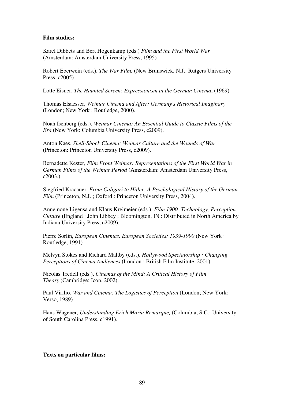## **Film studies:**

Karel Dibbets and Bert Hogenkamp (eds.) *Film and the First World War* (Amsterdam: Amsterdam University Press, 1995)

Robert Eberwein (eds.), *The War Film,* (New Brunswick, N.J.: Rutgers University Press, c2005).

Lotte Eisner, *The Haunted Screen: Expressionism in the German Cinema*, (1969)

Thomas Elsaesser, *Weimar Cinema and After: Germany's Historical Imaginary* (London; New York : Routledge, 2000).

Noah Isenberg (eds.), *Weimar Cinema: An Essential Guide to Classic Films of the Era* (New York: Columbia University Press, c2009).

Anton Kaes, *Shell-Shock Cinema: Weimar Culture and the Wounds of War*  (Princeton: Princeton University Press, c2009).

Bernadette Kester, *Film Front Weimar: Representations of the First World War in German Films of the Weimar Period* (Amsterdam: Amsterdam University Press, c2003.)

Siegfried Kracauer, *From Caligari to Hitler: A Psychological History of the German Film* (Princeton, N.J.; Oxford: Princeton University Press, 2004).

Annemone Ligensa and Klaus Kreimeier (eds.), *Film 1900: Technology, Perception, Culture* (England : John Libbey ; Bloomington, IN : Distributed in North America by Indiana University Press, c2009).

Pierre Sorlin, *European Cinemas, European Societies: 1939-1990* (New York : Routledge, 1991).

Melvyn Stokes and Richard Maltby (eds.), *Hollywood Spectatorship : Changing Perceptions of Cinema Audiences* (London : British Film Institute, 2001).

Nicolas Tredell (eds.), *Cinemas of the Mind: A Critical History of Film Theory* (Cambridge: Icon, 2002).

Paul Virilio, *War and Cinema: The Logistics of Perception* (London; New York: Verso, 1989)

Hans Wagener, *Understanding Erich Maria Remarque,* (Columbia, S.C.: University of South Carolina Press, c1991).

## **Texts on particular films:**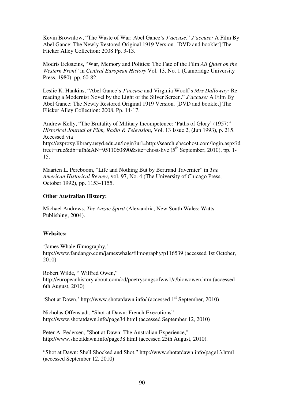Kevin Brownlow, "The Waste of War: Abel Gance's *J'accuse*." *J'accuse:* A Film By Abel Gance: The Newly Restored Original 1919 Version. [DVD and booklet] The Flicker Alley Collection: 2008 Pp. 3-13.

Modris Ecksteins, "War, Memory and Politics: The Fate of the Film *All Quiet on the Western Front*" in *Central European History* Vol. 13, No. 1 (Cambridge University Press, 1980), pp. 60-82.

Leslie K. Hankins, "Abel Gance's *J'accuse* and Virginia Woolf's *Mrs Dalloway:* Rereading a Modernist Novel by the Light of the Silver Screen." *J'accuse:* A Film By Abel Gance: The Newly Restored Original 1919 Version. [DVD and booklet] The Flicker Alley Collection: 2008. Pp. 14-17.

Andrew Kelly, "The Brutality of Military Incompetence: 'Paths of Glory' (1957)" *Historical Journal of Film, Radio & Television*, Vol. 13 Issue 2, (Jun 1993), p. 215. Accessed via http://ezproxy.library.usyd.edu.au/login?url=http://search.ebscohost.com/login.aspx?d irect=true&db=ufh&AN=9511060890&site=ehost-live  $(5^{th}$  September, 2010), pp. 1-15.

Maarten L. Pereboom, "Life and Nothing But by Bertrand Tavernier" in *The American Historical Review*, vol. 97, No. 4 (The University of Chicago Press, October 1992), pp. 1153-1155.

#### **Other Australian History:**

Michael Andrews, *The Anzac Spirit* (Alexandria, New South Wales: Watts Publishing, 2004).

#### **Websites:**

'James Whale filmography,' http://www.fandango.com/jameswhale/filmography/p116539 (accessed 1st October, 2010)

Robert Wilde, " Wilfred Owen," http://europeanhistory.about.com/od/poetrysongsofww1/a/biowowen.htm (accessed 6th August, 2010)

'Shot at Dawn,' http://www.shotatdawn.info/ (accessed  $1<sup>st</sup>$  September, 2010)

Nicholas Offenstadt, "Shot at Dawn: French Executions" http://www.shotatdawn.info/page34.html (accessed September 12, 2010)

Peter A. Pedersen, "Shot at Dawn: The Australian Experience," http://www.shotatdawn.info/page38.html (accessed 25th August, 2010).

"Shot at Dawn: Shell Shocked and Shot," http://www.shotatdawn.info/page13.html (accessed September 12, 2010)